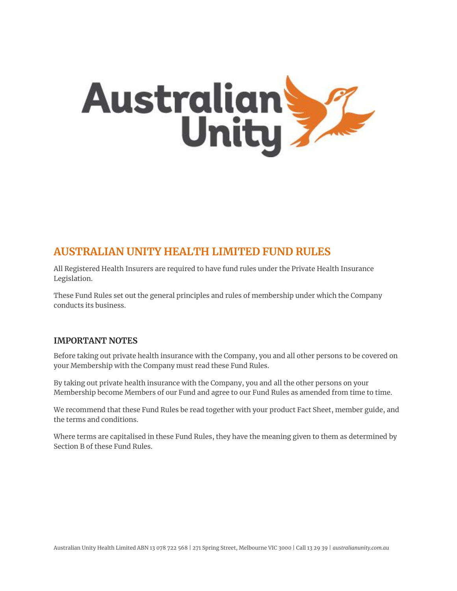

# **AUSTRALIAN UNITY HEALTH LIMITED FUND RULES**

All Registered Health Insurers are required to have fund rules under the Private Health Insurance Legislation.

These Fund Rules set out the general principles and rules of membership under which the Company conducts its business.

# **IMPORTANT NOTES**

Before taking out private health insurance with the Company, you and all other persons to be covered on your Membership with the Company must read these Fund Rules.

By taking out private health insurance with the Company, you and all the other persons on your Membership become Members of our Fund and agree to our Fund Rules as amended from time to time.

We recommend that these Fund Rules be read together with your product Fact Sheet, member guide, and the terms and conditions.

Where terms are capitalised in these Fund Rules, they have the meaning given to them as determined by Section B of these Fund Rules.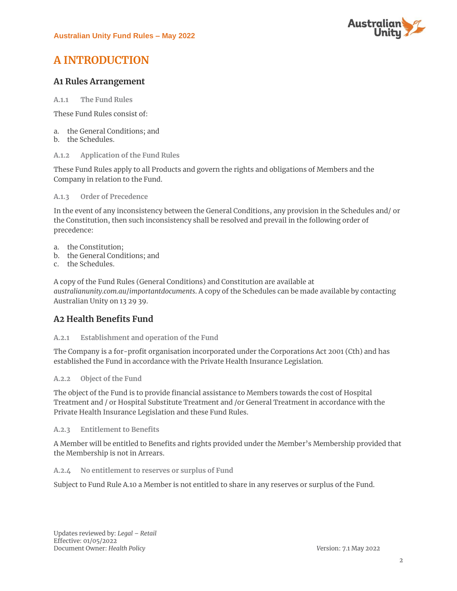

# **A INTRODUCTION**

# **A1 Rules Arrangement**

**A.1.1 The Fund Rules** 

These Fund Rules consist of:

- a. the General Conditions; and
- b. the Schedules.

#### **A.1.2 Application of the Fund Rules**

These Fund Rules apply to all Products and govern the rights and obligations of Members and the Company in relation to the Fund.

**A.1.3 Order of Precedence**

In the event of any inconsistency between the General Conditions, any provision in the Schedules and/ or the Constitution, then such inconsistency shall be resolved and prevail in the following order of precedence:

- a. the Constitution;
- b. the General Conditions; and
- c. the Schedules.

A copy of the Fund Rules (General Conditions) and Constitution are available at *australianunity.com.au*/*importantdocuments*. A copy of the Schedules can be made available by contacting Australian Unity on 13 29 39.

# **A2 Health Benefits Fund**

#### **A.2.1 Establishment and operation of the Fund**

The Company is a for-profit organisation incorporated under the Corporations Act 2001 (Cth) and has established the Fund in accordance with the Private Health Insurance Legislation.

#### **A.2.2 Object of the Fund**

The object of the Fund is to provide financial assistance to Members towards the cost of Hospital Treatment and / or Hospital Substitute Treatment and /or General Treatment in accordance with the Private Health Insurance Legislation and these Fund Rules.

**A.2.3 Entitlement to Benefits**

A Member will be entitled to Benefits and rights provided under the Member's Membership provided that the Membership is not in Arrears.

#### **A.2.4 No entitlement to reserves or surplus of Fund**

Subject to Fund Rule A.10 a Member is not entitled to share in any reserves or surplus of the Fund.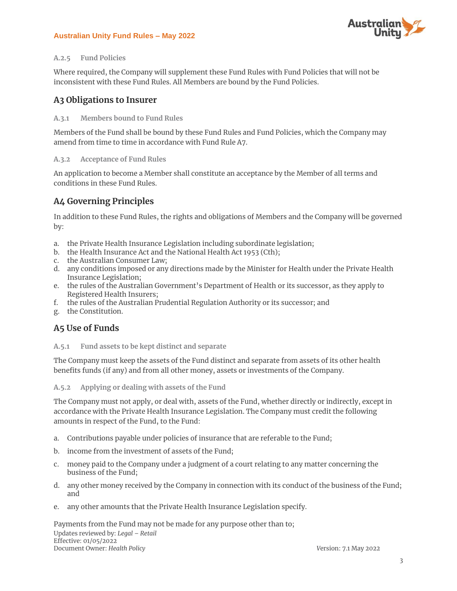

### **A.2.5 Fund Policies**

Where required, the Company will supplement these Fund Rules with Fund Policies that will not be inconsistent with these Fund Rules. All Members are bound by the Fund Policies.

## **A3 Obligations to Insurer**

#### **A.3.1 Members bound to Fund Rules**

Members of the Fund shall be bound by these Fund Rules and Fund Policies, which the Company may amend from time to time in accordance with Fund Rule A7.

**A.3.2 Acceptance of Fund Rules**

An application to become a Member shall constitute an acceptance by the Member of all terms and conditions in these Fund Rules.

# **A4 Governing Principles**

In addition to these Fund Rules, the rights and obligations of Members and the Company will be governed by:

- a. the Private Health Insurance Legislation including subordinate legislation;
- b. the Health Insurance Act and the National Health Act 1953 (Cth);
- c. the Australian Consumer Law;
- d. any conditions imposed or any directions made by the Minister for Health under the Private Health Insurance Legislation;
- e. the rules of the Australian Government's Department of Health or its successor, as they apply to Registered Health Insurers;
- f. the rules of the Australian Prudential Regulation Authority or its successor; and
- g. the Constitution.

# **A5 Use of Funds**

**A.5.1 Fund assets to be kept distinct and separate**

The Company must keep the assets of the Fund distinct and separate from assets of its other health benefits funds (if any) and from all other money, assets or investments of the Company.

**A.5.2 Applying or dealing with assets of the Fund**

The Company must not apply, or deal with, assets of the Fund, whether directly or indirectly, except in accordance with the Private Health Insurance Legislation. The Company must credit the following amounts in respect of the Fund, to the Fund:

- a. Contributions payable under policies of insurance that are referable to the Fund;
- b. income from the investment of assets of the Fund;
- c. money paid to the Company under a judgment of a court relating to any matter concerning the business of the Fund;
- d. any other money received by the Company in connection with its conduct of the business of the Fund; and
- e. any other amounts that the Private Health Insurance Legislation specify.

Updates reviewed by: Legal - Retail Effective: 01/05/2022 Document Owner: *Health Policy V*ersion: 7.1 May 2022 Payments from the Fund may not be made for any purpose other than to;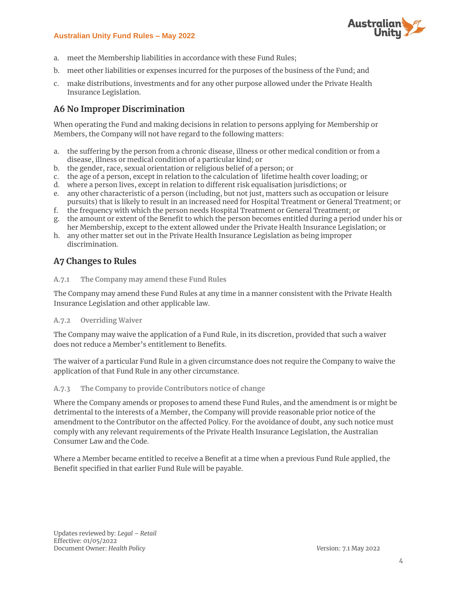

- a. meet the Membership liabilities in accordance with these Fund Rules;
- b. meet other liabilities or expenses incurred for the purposes of the business of the Fund; and
- c. make distributions, investments and for any other purpose allowed under the Private Health Insurance Legislation.

## **A6 No Improper Discrimination**

When operating the Fund and making decisions in relation to persons applying for Membership or Members, the Company will not have regard to the following matters:

- a. the suffering by the person from a chronic disease, illness or other medical condition or from a disease, illness or medical condition of a particular kind; or
- b. the gender, race, sexual orientation or religious belief of a person; or
- c. the age of a person, except in relation to the calculation of lifetime health cover loading; or
- d. where a person lives, except in relation to different risk equalisation jurisdictions; or
- e. any other characteristic of a person (including, but not just, matters such as occupation or leisure pursuits) that is likely to result in an increased need for Hospital Treatment or General Treatment; or
- f. the frequency with which the person needs Hospital Treatment or General Treatment; or
- g. the amount or extent of the Benefit to which the person becomes entitled during a period under his or her Membership, except to the extent allowed under the Private Health Insurance Legislation; or
- h. any other matter set out in the Private Health Insurance Legislation as being improper discrimination.

# **A7 Changes to Rules**

#### **A.7.1 The Company may amend these Fund Rules**

The Company may amend these Fund Rules at any time in a manner consistent with the Private Health Insurance Legislation and other applicable law.

#### **A.7.2 Overriding Waiver**

The Company may waive the application of a Fund Rule, in its discretion, provided that such a waiver does not reduce a Member's entitlement to Benefits.

The waiver of a particular Fund Rule in a given circumstance does not require the Company to waive the application of that Fund Rule in any other circumstance.

#### **A.7.3 The Company to provide Contributors notice of change**

Where the Company amends or proposes to amend these Fund Rules, and the amendment is or might be detrimental to the interests of a Member, the Company will provide reasonable prior notice of the amendment to the Contributor on the affected Policy. For the avoidance of doubt, any such notice must comply with any relevant requirements of the Private Health Insurance Legislation, the Australian Consumer Law and the Code.

Where a Member became entitled to receive a Benefit at a time when a previous Fund Rule applied, the Benefit specified in that earlier Fund Rule will be payable.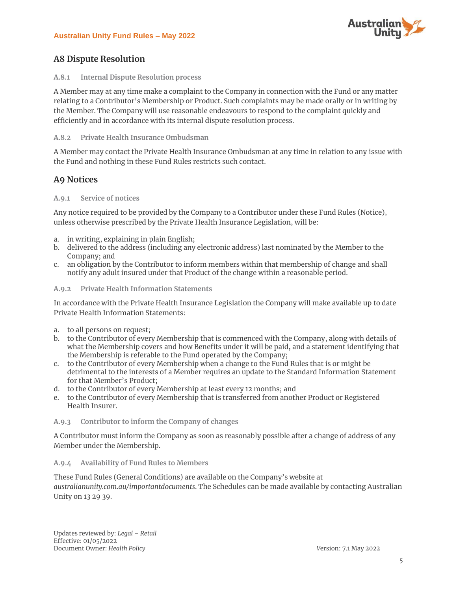

# **A8 Dispute Resolution**

#### **A.8.1 Internal Dispute Resolution process**

A Member may at any time make a complaint to the Company in connection with the Fund or any matter relating to a Contributor's Membership or Product. Such complaints may be made orally or in writing by the Member. The Company will use reasonable endeavours to respond to the complaint quickly and efficiently and in accordance with its internal dispute resolution process.

#### **A.8.2 Private Health Insurance Ombudsman**

A Member may contact the Private Health Insurance Ombudsman at any time in relation to any issue with the Fund and nothing in these Fund Rules restricts such contact.

## **A9 Notices**

#### **A.9.1 Service of notices**

Any notice required to be provided by the Company to a Contributor under these Fund Rules (Notice), unless otherwise prescribed by the Private Health Insurance Legislation, will be:

- a. in writing, explaining in plain English;
- b. delivered to the address (including any electronic address) last nominated by the Member to the Company; and
- c. an obligation by the Contributor to inform members within that membership of change and shall notify any adult insured under that Product of the change within a reasonable period.

#### **A.9.2 Private Health Information Statements**

In accordance with the Private Health Insurance Legislation the Company will make available up to date Private Health Information Statements:

- a. to all persons on request;
- b. to the Contributor of every Membership that is commenced with the Company, along with details of what the Membership covers and how Benefits under it will be paid, and a statement identifying that the Membership is referable to the Fund operated by the Company;
- c. to the Contributor of every Membership when a change to the Fund Rules that is or might be detrimental to the interests of a Member requires an update to the Standard Information Statement for that Member's Product;
- d. to the Contributor of every Membership at least every 12 months; and
- e. to the Contributor of every Membership that is transferred from another Product or Registered Health Insurer.

#### **A.9.3 Contributor to inform the Company of changes**

A Contributor must inform the Company as soon as reasonably possible after a change of address of any Member under the Membership.

#### **A.9.4 Availability of Fund Rules to Members**

These Fund Rules (General Conditions) are available on the Company's website at *australianunity.com.au/importantdocuments*. The Schedules can be made available by contacting Australian Unity on 13 29 39.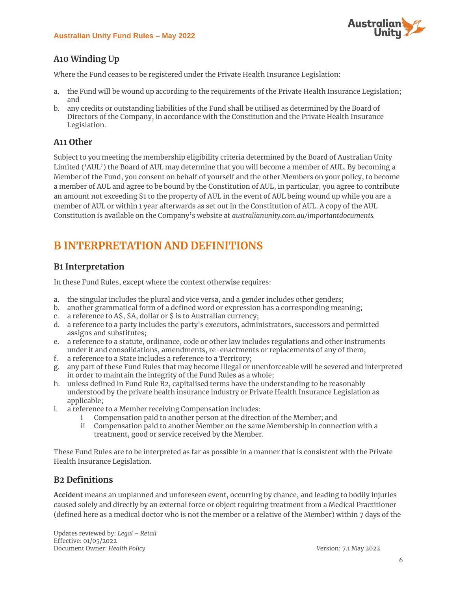

# **A10 Winding Up**

Where the Fund ceases to be registered under the Private Health Insurance Legislation:

- a. the Fund will be wound up according to the requirements of the Private Health Insurance Legislation; and
- b. any credits or outstanding liabilities of the Fund shall be utilised as determined by the Board of Directors of the Company, in accordance with the Constitution and the Private Health Insurance Legislation.

### **A11 Other**

Subject to you meeting the membership eligibility criteria determined by the Board of Australian Unity Limited ('AUL') the Board of AUL may determine that you will become a member of AUL. By becoming a Member of the Fund, you consent on behalf of yourself and the other Members on your policy, to become a member of AUL and agree to be bound by the Constitution of AUL, in particular, you agree to contribute an amount not exceeding \$1 to the property of AUL in the event of AUL being wound up while you are a member of AUL or within 1 year afterwards as set out in the Constitution of AUL. A copy of the AUL Constitution is available on the Company's website at *australianunity.com.au/importantdocuments.*

# **B INTERPRETATION AND DEFINITIONS**

# **B1 Interpretation**

In these Fund Rules, except where the context otherwise requires:

- a. the singular includes the plural and vice versa, and a gender includes other genders;
- b. another grammatical form of a defined word or expression has a corresponding meaning;
- c. a reference to A\$, \$A, dollar or \$ is to Australian currency;
- d. a reference to a party includes the party's executors, administrators, successors and permitted assigns and substitutes;
- e. a reference to a statute, ordinance, code or other law includes regulations and other instruments under it and consolidations, amendments, re-enactments or replacements of any of them;
- f. a reference to a State includes a reference to a Territory;
- g. any part of these Fund Rules that may become illegal or unenforceable will be severed and interpreted in order to maintain the integrity of the Fund Rules as a whole;
- h. unless defined in Fund Rule B2, capitalised terms have the understanding to be reasonably understood by the private health insurance industry or Private Health Insurance Legislation as applicable;
- i. a reference to a Member receiving Compensation includes:
	- i Compensation paid to another person at the direction of the Member; and
	- ii Compensation paid to another Member on the same Membership in connection with a treatment, good or service received by the Member.

These Fund Rules are to be interpreted as far as possible in a manner that is consistent with the Private Health Insurance Legislation.

# **B2 Definitions**

**Accident** means an unplanned and unforeseen event, occurring by chance, and leading to bodily injuries caused solely and directly by an external force or object requiring treatment from a Medical Practitioner (defined here as a medical doctor who is not the member or a relative of the Member) within 7 days of the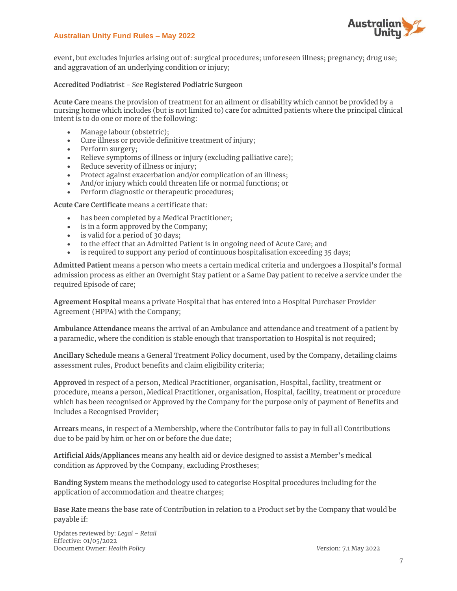

event, but excludes injuries arising out of: surgical procedures; unforeseen illness; pregnancy; drug use; and aggravation of an underlying condition or injury;

#### **Accredited Podiatrist** - See **Registered Podiatric Surgeon**

**Acute Care** means the provision of treatment for an ailment or disability which cannot be provided by a nursing home which includes (but is not limited to) care for admitted patients where the principal clinical intent is to do one or more of the following:

- Manage labour (obstetric);
- Cure illness or provide definitive treatment of injury;
- Perform surgery;
- Relieve symptoms of illness or injury (excluding palliative care);
- Reduce severity of illness or injury;
- Protect against exacerbation and/or complication of an illness;
- And/or injury which could threaten life or normal functions; or
- Perform diagnostic or therapeutic procedures;

**Acute Care Certificate** means a certificate that:

- has been completed by a Medical Practitioner;
- is in a form approved by the Company;
- is valid for a period of 30 days;
- to the effect that an Admitted Patient is in ongoing need of Acute Care; and
- is required to support any period of continuous hospitalisation exceeding 35 days;

**Admitted Patient** means a person who meets a certain medical criteria and undergoes a Hospital's formal admission process as either an Overnight Stay patient or a Same Day patient to receive a service under the required Episode of care;

**Agreement Hospital** means a private Hospital that has entered into a Hospital Purchaser Provider Agreement (HPPA) with the Company;

**Ambulance Attendance** means the arrival of an Ambulance and attendance and treatment of a patient by a paramedic, where the condition is stable enough that transportation to Hospital is not required;

**Ancillary Schedule** means a General Treatment Policy document, used by the Company, detailing claims assessment rules, Product benefits and claim eligibility criteria;

**Approved** in respect of a person, Medical Practitioner, organisation, Hospital, facility, treatment or procedure, means a person, Medical Practitioner, organisation, Hospital, facility, treatment or procedure which has been recognised or Approved by the Company for the purpose only of payment of Benefits and includes a Recognised Provider;

**Arrears** means, in respect of a Membership, where the Contributor fails to pay in full all Contributions due to be paid by him or her on or before the due date;

**Artificial Aids/Appliances** means any health aid or device designed to assist a Member's medical condition as Approved by the Company, excluding Prostheses;

**Banding System** means the methodology used to categorise Hospital procedures including for the application of accommodation and theatre charges;

**Base Rate** means the base rate of Contribution in relation to a Product set by the Company that would be payable if: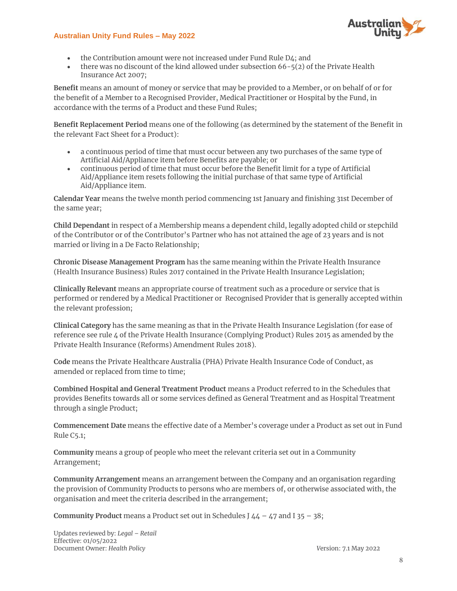

- the Contribution amount were not increased under Fund Rule D4; and
- there was no discount of the kind allowed under subsection  $66 5(2)$  of the Private Health Insurance Act 2007;

**Benefit** means an amount of money or service that may be provided to a Member, or on behalf of or for the benefit of a Member to a Recognised Provider, Medical Practitioner or Hospital by the Fund, in accordance with the terms of a Product and these Fund Rules;

**Benefit Replacement Period** means one of the following (as determined by the statement of the Benefit in the relevant Fact Sheet for a Product):

- a continuous period of time that must occur between any two purchases of the same type of Artificial Aid/Appliance item before Benefits are payable; or
- continuous period of time that must occur before the Benefit limit for a type of Artificial Aid/Appliance item resets following the initial purchase of that same type of Artificial Aid/Appliance item.

**Calendar Year** means the twelve month period commencing 1st January and finishing 31st December of the same year;

**Child Dependant** in respect of a Membership means a dependent child, legally adopted child or stepchild of the Contributor or of the Contributor's Partner who has not attained the age of 23 years and is not married or living in a De Facto Relationship;

**Chronic Disease Management Program** has the same meaning within the Private Health Insurance (Health Insurance Business) Rules 2017 contained in the Private Health Insurance Legislation;

**Clinically Relevant** means an appropriate course of treatment such as a procedure or service that is performed or rendered by a Medical Practitioner or Recognised Provider that is generally accepted within the relevant profession;

**Clinical Category** has the same meaning as that in the Private Health Insurance Legislation (for ease of reference see rule 4 of the Private Health Insurance (Complying Product) Rules 2015 as amended by the Private Health Insurance (Reforms) Amendment Rules 2018).

**Code** means the Private Healthcare Australia (PHA) Private Health Insurance Code of Conduct, as amended or replaced from time to time;

**Combined Hospital and General Treatment Product** means a Product referred to in the Schedules that provides Benefits towards all or some services defined as General Treatment and as Hospital Treatment through a single Product;

**Commencement Date** means the effective date of a Member's coverage under a Product as set out in Fund Rule C5.1;

**Community** means a group of people who meet the relevant criteria set out in a Community Arrangement;

**Community Arrangement** means an arrangement between the Company and an organisation regarding the provision of Community Products to persons who are members of, or otherwise associated with, the organisation and meet the criteria described in the arrangement;

**Community Product** means a Product set out in Schedules J 44 – 47 and I 35 – 38;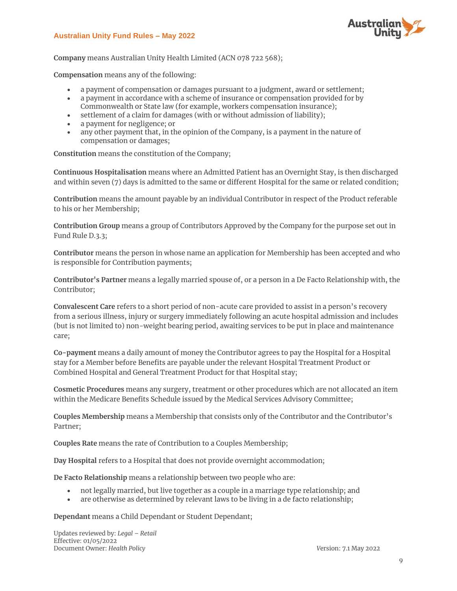

**Company** means Australian Unity Health Limited (ACN 078 722 568);

**Compensation** means any of the following:

- a payment of compensation or damages pursuant to a judgment, award or settlement;
- a payment in accordance with a scheme of insurance or compensation provided for by Commonwealth or State law (for example, workers compensation insurance);
- settlement of a claim for damages (with or without admission of liability);
- a payment for negligence; or
- any other payment that, in the opinion of the Company, is a payment in the nature of compensation or damages;

**Constitution** means the constitution of the Company;

**Continuous Hospitalisation** means where an Admitted Patient has an Overnight Stay, is then discharged and within seven (7) days is admitted to the same or different Hospital for the same or related condition;

**Contribution** means the amount payable by an individual Contributor in respect of the Product referable to his or her Membership;

**Contribution Group** means a group of Contributors Approved by the Company for the purpose set out in Fund Rule D.3.3;

**Contributor** means the person in whose name an application for Membership has been accepted and who is responsible for Contribution payments;

**Contributor's Partner** means a legally married spouse of, or a person in a De Facto Relationship with, the Contributor;

**Convalescent Care** refers to a short period of non-acute care provided to assist in a person's recovery from a serious illness, injury or surgery immediately following an acute hospital admission and includes (but is not limited to) non-weight bearing period, awaiting services to be put in place and maintenance care;

**Co-payment** means a daily amount of money the Contributor agrees to pay the Hospital for a Hospital stay for a Member before Benefits are payable under the relevant Hospital Treatment Product or Combined Hospital and General Treatment Product for that Hospital stay;

**Cosmetic Procedures** means any surgery, treatment or other procedures which are not allocated an item within the Medicare Benefits Schedule issued by the Medical Services Advisory Committee;

**Couples Membership** means a Membership that consists only of the Contributor and the Contributor's Partner;

**Couples Rate** means the rate of Contribution to a Couples Membership;

**Day Hospital** refers to a Hospital that does not provide overnight accommodation;

**De Facto Relationship** means a relationship between two people who are:

- not legally married, but live together as a couple in a marriage type relationship; and
- are otherwise as determined by relevant laws to be living in a de facto relationship;

**Dependant** means a Child Dependant or Student Dependant;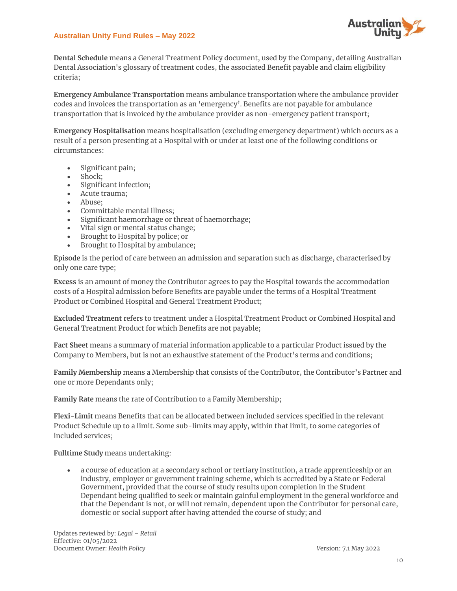

**Dental Schedule** means a General Treatment Policy document, used by the Company, detailing Australian Dental Association's glossary of treatment codes, the associated Benefit payable and claim eligibility criteria;

**Emergency Ambulance Transportation** means ambulance transportation where the ambulance provider codes and invoices the transportation as an 'emergency'. Benefits are not payable for ambulance transportation that is invoiced by the ambulance provider as non-emergency patient transport;

**Emergency Hospitalisation** means hospitalisation (excluding emergency department) which occurs as a result of a person presenting at a Hospital with or under at least one of the following conditions or circumstances:

- Significant pain;
- Shock;
- Significant infection;
- Acute trauma;
- Abuse;
- Committable mental illness;
- Significant haemorrhage or threat of haemorrhage;
- Vital sign or mental status change;
- Brought to Hospital by police; or
- Brought to Hospital by ambulance;

**Episode** is the period of care between an admission and separation such as discharge, characterised by only one care type;

**Excess** is an amount of money the Contributor agrees to pay the Hospital towards the accommodation costs of a Hospital admission before Benefits are payable under the terms of a Hospital Treatment Product or Combined Hospital and General Treatment Product;

**Excluded Treatment** refers to treatment under a Hospital Treatment Product or Combined Hospital and General Treatment Product for which Benefits are not payable;

**Fact Sheet** means a summary of material information applicable to a particular Product issued by the Company to Members, but is not an exhaustive statement of the Product's terms and conditions;

**Family Membership** means a Membership that consists of the Contributor, the Contributor's Partner and one or more Dependants only;

**Family Rate** means the rate of Contribution to a Family Membership;

**Flexi-Limit** means Benefits that can be allocated between included services specified in the relevant Product Schedule up to a limit. Some sub-limits may apply, within that limit, to some categories of included services;

**Fulltime Study** means undertaking:

• a course of education at a secondary school or tertiary institution, a trade apprenticeship or an industry, employer or government training scheme, which is accredited by a State or Federal Government, provided that the course of study results upon completion in the Student Dependant being qualified to seek or maintain gainful employment in the general workforce and that the Dependant is not, or will not remain, dependent upon the Contributor for personal care, domestic or social support after having attended the course of study; and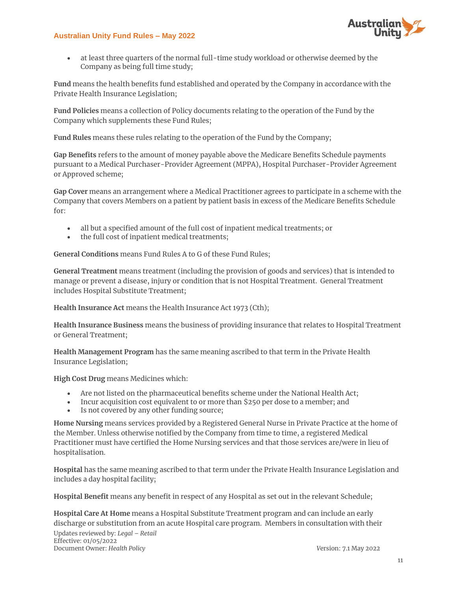

• at least three quarters of the normal full-time study workload or otherwise deemed by the Company as being full time study;

**Fund** means the health benefits fund established and operated by the Company in accordance with the Private Health Insurance Legislation;

**Fund Policies** means a collection of Policy documents relating to the operation of the Fund by the Company which supplements these Fund Rules;

**Fund Rules** means these rules relating to the operation of the Fund by the Company;

**Gap Benefits** refers to the amount of money payable above the Medicare Benefits Schedule payments pursuant to a Medical Purchaser-Provider Agreement (MPPA), Hospital Purchaser-Provider Agreement or Approved scheme;

**Gap Cover** means an arrangement where a Medical Practitioner agrees to participate in a scheme with the Company that covers Members on a patient by patient basis in excess of the Medicare Benefits Schedule for:

- all but a specified amount of the full cost of inpatient medical treatments; or
- the full cost of inpatient medical treatments;

**General Conditions** means Fund Rules A to G of these Fund Rules;

**General Treatment** means treatment (including the provision of goods and services) that is intended to manage or prevent a disease, injury or condition that is not Hospital Treatment. General Treatment includes Hospital Substitute Treatment;

**Health Insurance Act** means the Health Insurance Act 1973 (Cth);

**Health Insurance Business** means the business of providing insurance that relates to Hospital Treatment or General Treatment;

**Health Management Program** has the same meaning ascribed to that term in the Private Health Insurance Legislation;

**High Cost Drug** means Medicines which:

- Are not listed on the pharmaceutical benefits scheme under the National Health Act;
- Incur acquisition cost equivalent to or more than \$250 per dose to a member; and
- Is not covered by any other funding source;

**Home Nursing** means services provided by a Registered General Nurse in Private Practice at the home of the Member. Unless otherwise notified by the Company from time to time, a registered Medical Practitioner must have certified the Home Nursing services and that those services are/were in lieu of hospitalisation.

**Hospital** has the same meaning ascribed to that term under the Private Health Insurance Legislation and includes a day hospital facility;

**Hospital Benefit** means any benefit in respect of any Hospital as set out in the relevant Schedule;

Updates reviewed by: Legal - Retail **Hospital Care At Home** means a Hospital Substitute Treatment program and can include an early discharge or substitution from an acute Hospital care program. Members in consultation with their

Effective: 01/05/2022 Document Owner: *Health Policy V*ersion: 7.1 May 2022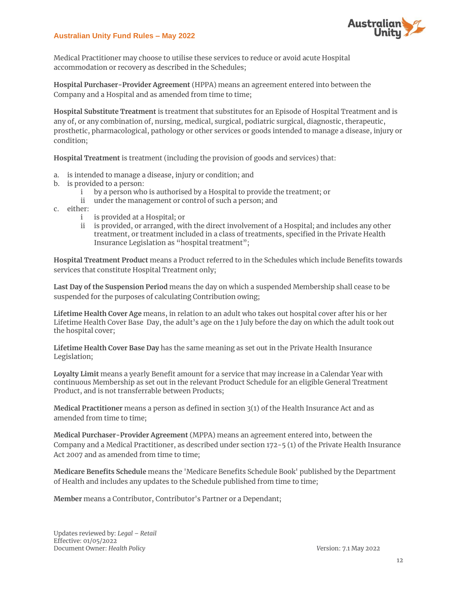

Medical Practitioner may choose to utilise these services to reduce or avoid acute Hospital accommodation or recovery as described in the Schedules;

**Hospital Purchaser-Provider Agreement** (HPPA) means an agreement entered into between the Company and a Hospital and as amended from time to time;

**Hospital Substitute Treatment** is treatment that substitutes for an Episode of Hospital Treatment and is any of, or any combination of, nursing, medical, surgical, podiatric surgical, diagnostic, therapeutic, prosthetic, pharmacological, pathology or other services or goods intended to manage a disease, injury or condition;

**Hospital Treatment** is treatment (including the provision of goods and services) that:

- a. is intended to manage a disease, injury or condition; and
- b. is provided to a person:
	- i by a person who is authorised by a Hospital to provide the treatment; or
	- ii under the management or control of such a person; and
- c. either:
	- i is provided at a Hospital; or
	- ii is provided, or arranged, with the direct involvement of a Hospital; and includes any other treatment, or treatment included in a class of treatments, specified in the Private Health Insurance Legislation as "hospital treatment";

**Hospital Treatment Product** means a Product referred to in the Schedules which include Benefits towards services that constitute Hospital Treatment only;

**Last Day of the Suspension Period** means the day on which a suspended Membership shall cease to be suspended for the purposes of calculating Contribution owing;

**Lifetime Health Cover Age** means, in relation to an adult who takes out hospital cover after his or her Lifetime Health Cover Base Day, the adult's age on the 1 July before the day on which the adult took out the hospital cover;

**Lifetime Health Cover Base Day** has the same meaning as set out in the Private Health Insurance Legislation;

**Loyalty Limit** means a yearly Benefit amount for a service that may increase in a Calendar Year with continuous Membership as set out in the relevant Product Schedule for an eligible General Treatment Product, and is not transferrable between Products;

**Medical Practitioner** means a person as defined in section 3(1) of the Health Insurance Act and as amended from time to time;

**Medical Purchaser-Provider Agreement** (MPPA) means an agreement entered into, between the Company and a Medical Practitioner, as described under section 172-5 (1) of the Private Health Insurance Act 2007 and as amended from time to time;

**Medicare Benefits Schedule** means the 'Medicare Benefits Schedule Book' published by the Department of Health and includes any updates to the Schedule published from time to time;

**Member** means a Contributor, Contributor's Partner or a Dependant;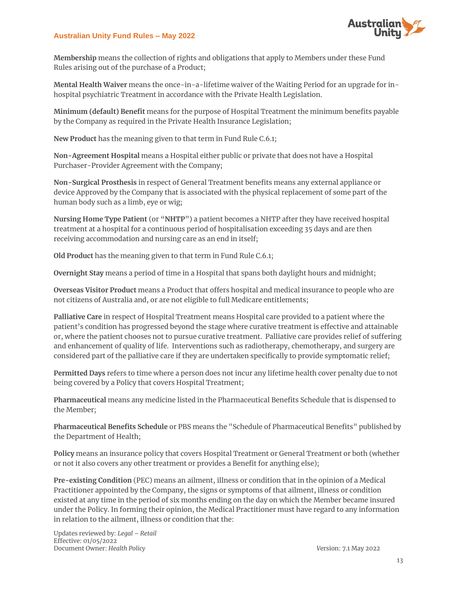

**Membership** means the collection of rights and obligations that apply to Members under these Fund Rules arising out of the purchase of a Product;

**Mental Health Waiver** means the once-in-a-lifetime waiver of the Waiting Period for an upgrade for inhospital psychiatric Treatment in accordance with the Private Health Legislation.

**Minimum (default) Benefit** means for the purpose of Hospital Treatment the minimum benefits payable by the Company as required in the Private Health Insurance Legislation;

**New Product** has the meaning given to that term in Fund Rule C.6.1;

**Non-Agreement Hospital** means a Hospital either public or private that does not have a Hospital Purchaser-Provider Agreement with the Company;

**Non-Surgical Prosthesis** in respect of General Treatment benefits means any external appliance or device Approved by the Company that is associated with the physical replacement of some part of the human body such as a limb, eye or wig;

**Nursing Home Type Patient** (or "**NHTP**") a patient becomes a NHTP after they have received hospital treatment at a hospital for a continuous period of hospitalisation exceeding 35 days and are then receiving accommodation and nursing care as an end in itself;

**Old Product** has the meaning given to that term in Fund Rule C.6.1;

**Overnight Stay** means a period of time in a Hospital that spans both daylight hours and midnight;

**Overseas Visitor Product** means a Product that offers hospital and medical insurance to people who are not citizens of Australia and, or are not eligible to full Medicare entitlements;

**Palliative Care** in respect of Hospital Treatment means Hospital care provided to a patient where the patient's condition has progressed beyond the stage where curative treatment is effective and attainable or, where the patient chooses not to pursue curative treatment. Palliative care provides relief of suffering and enhancement of quality of life. Interventions such as radiotherapy, chemotherapy, and surgery are considered part of the palliative care if they are undertaken specifically to provide symptomatic relief;

**Permitted Days** refers to time where a person does not incur any lifetime health cover penalty due to not being covered by a Policy that covers Hospital Treatment;

**Pharmaceutical** means any medicine listed in the Pharmaceutical Benefits Schedule that is dispensed to the Member;

**Pharmaceutical Benefits Schedule** or PBS means the "Schedule of Pharmaceutical Benefits" published by the Department of Health;

**Policy** means an insurance policy that covers Hospital Treatment or General Treatment or both (whether or not it also covers any other treatment or provides a Benefit for anything else);

**Pre-existing Condition** (PEC) means an ailment, illness or condition that in the opinion of a Medical Practitioner appointed by the Company, the signs or symptoms of that ailment, illness or condition existed at any time in the period of six months ending on the day on which the Member became insured under the Policy. In forming their opinion, the Medical Practitioner must have regard to any information in relation to the ailment, illness or condition that the: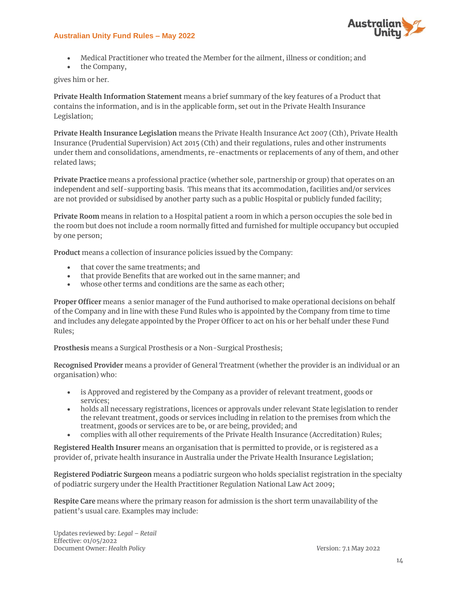

- Medical Practitioner who treated the Member for the ailment, illness or condition; and
- the Company,

gives him or her.

**Private Health Information Statement** means a brief summary of the key features of a Product that contains the information, and is in the applicable form, set out in the Private Health Insurance Legislation;

**Private Health Insurance Legislation** means the Private Health Insurance Act 2007 (Cth), Private Health Insurance (Prudential Supervision) Act 2015 (Cth) and their regulations, rules and other instruments under them and consolidations, amendments, re-enactments or replacements of any of them, and other related laws;

**Private Practice** means a professional practice (whether sole, partnership or group) that operates on an independent and self-supporting basis. This means that its accommodation, facilities and/or services are not provided or subsidised by another party such as a public Hospital or publicly funded facility;

**Private Room** means in relation to a Hospital patient a room in which a person occupies the sole bed in the room but does not include a room normally fitted and furnished for multiple occupancy but occupied by one person;

**Product** means a collection of insurance policies issued by the Company:

- that cover the same treatments; and
- that provide Benefits that are worked out in the same manner; and
- whose other terms and conditions are the same as each other;

**Proper Officer** means a senior manager of the Fund authorised to make operational decisions on behalf of the Company and in line with these Fund Rules who is appointed by the Company from time to time and includes any delegate appointed by the Proper Officer to act on his or her behalf under these Fund Rules;

**Prosthesis** means a Surgical Prosthesis or a Non-Surgical Prosthesis;

**Recognised Provider** means a provider of General Treatment (whether the provider is an individual or an organisation) who:

- is Approved and registered by the Company as a provider of relevant treatment, goods or services;
- holds all necessary registrations, licences or approvals under relevant State legislation to render the relevant treatment, goods or services including in relation to the premises from which the treatment, goods or services are to be, or are being, provided; and
- complies with all other requirements of the Private Health Insurance (Accreditation) Rules;

**Registered Health Insurer** means an organisation that is permitted to provide, or is registered as a provider of, private health insurance in Australia under the Private Health Insurance Legislation;

**Registered Podiatric Surgeon** means a podiatric surgeon who holds specialist registration in the specialty of podiatric surgery under the Health Practitioner Regulation National Law Act 2009;

**Respite Care** means where the primary reason for admission is the short term unavailability of the patient's usual care. Examples may include: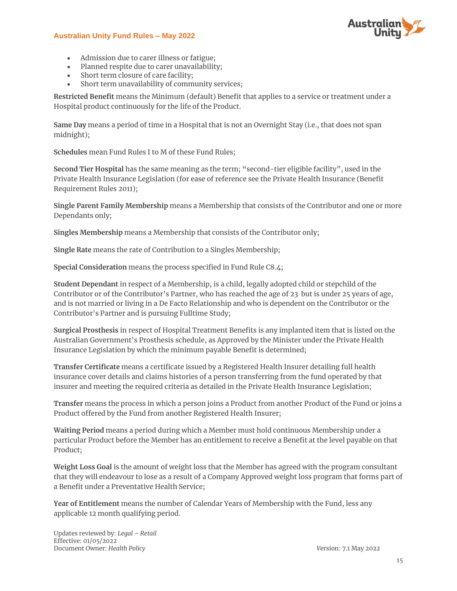

- Admission due to carer illness or fatigue;
- Planned respite due to carer unavailability;
- Short term closure of care facility;
- Short term unavailability of community services;

**Restricted Benefit** means the Minimum (default) Benefit that applies to a service or treatment under a Hospital product continuously for the life of the Product.

**Same Day** means a period of time in a Hospital that is not an Overnight Stay (i.e., that does not span midnight);

**Schedules** mean Fund Rules I to M of these Fund Rules;

**Second Tier Hospital** has the same meaning as the term; "second-tier eligible facility", used in the Private Health Insurance Legislation (for ease of reference see the Private Health Insurance (Benefit Requirement Rules 2011);

**Single Parent Family Membership** means a Membership that consists of the Contributor and one or more Dependants only;

**Singles Membership** means a Membership that consists of the Contributor only;

**Single Rate** means the rate of Contribution to a Singles Membership;

**Special Consideration** means the process specified in Fund Rule C8.4;

**Student Dependant** in respect of a Membership, is a child, legally adopted child or stepchild of the Contributor or of the Contributor's Partner, who has reached the age of 23 but is under 25 years of age, and is not married or living in a De Facto Relationship and who is dependent on the Contributor or the Contributor's Partner and is pursuing Fulltime Study;

**Surgical Prosthesis** in respect of Hospital Treatment Benefits is any implanted item that is listed on the Australian Government's Prosthesis schedule, as Approved by the Minister under the Private Health Insurance Legislation by which the minimum payable Benefit is determined;

**Transfer Certificate** means a certificate issued by a Registered Health Insurer detailing full health insurance cover details and claims histories of a person transferring from the fund operated by that insurer and meeting the required criteria as detailed in the Private Health Insurance Legislation;

**Transfer** means the process in which a person joins a Product from another Product of the Fund or joins a Product offered by the Fund from another Registered Health Insurer;

**Waiting Period** means a period during which a Member must hold continuous Membership under a particular Product before the Member has an entitlement to receive a Benefit at the level payable on that Product;

**Weight Loss Goal** is the amount of weight loss that the Member has agreed with the program consultant that they will endeavour to lose as a result of a Company Approved weight loss program that forms part of a Benefit under a Preventative Health Service;

**Year of Entitlement** means the number of Calendar Years of Membership with the Fund, less any applicable 12 month qualifying period.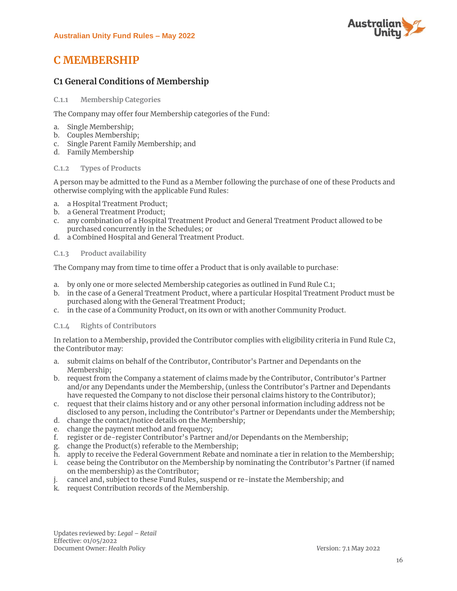

# **C MEMBERSHIP**

# **C1 General Conditions of Membership**

#### **C.1.1 Membership Categories**

The Company may offer four Membership categories of the Fund:

- a. Single Membership;
- b. Couples Membership;
- c. Single Parent Family Membership; and
- d. Family Membership

#### **C.1.2 Types of Products**

A person may be admitted to the Fund as a Member following the purchase of one of these Products and otherwise complying with the applicable Fund Rules:

- a. a Hospital Treatment Product;
- b. a General Treatment Product;
- c. any combination of a Hospital Treatment Product and General Treatment Product allowed to be purchased concurrently in the Schedules; or
- d. a Combined Hospital and General Treatment Product.

#### **C.1.3 Product availability**

The Company may from time to time offer a Product that is only available to purchase:

- a. by only one or more selected Membership categories as outlined in Fund Rule C.1;
- b. in the case of a General Treatment Product, where a particular Hospital Treatment Product must be purchased along with the General Treatment Product;
- c. in the case of a Community Product, on its own or with another Community Product.

#### **C.1.4 Rights of Contributors**

In relation to a Membership, provided the Contributor complies with eligibility criteria in Fund Rule C2, the Contributor may:

- a. submit claims on behalf of the Contributor, Contributor's Partner and Dependants on the Membership;
- b. request from the Company a statement of claims made by the Contributor, Contributor's Partner and/or any Dependants under the Membership, (unless the Contributor's Partner and Dependants have requested the Company to not disclose their personal claims history to the Contributor);
- c. request that their claims history and or any other personal information including address not be disclosed to any person, including the Contributor's Partner or Dependants under the Membership;
- d. change the contact/notice details on the Membership;
- e. change the payment method and frequency;
- f. register or de-register Contributor's Partner and/or Dependants on the Membership;
- g. change the Product(s) referable to the Membership;
- h. apply to receive the Federal Government Rebate and nominate a tier in relation to the Membership;
- i. cease being the Contributor on the Membership by nominating the Contributor's Partner (if named on the membership) as the Contributor;
- j. cancel and, subject to these Fund Rules, suspend or re-instate the Membership; and
- k. request Contribution records of the Membership.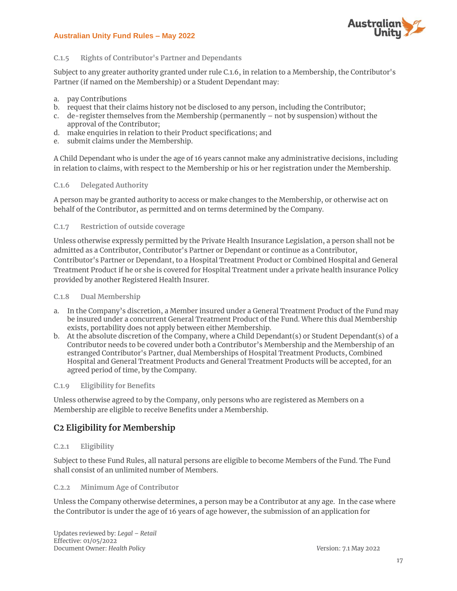

#### **C.1.5 Rights of Contributor's Partner and Dependants**

Subject to any greater authority granted under rule C.1.6, in relation to a Membership, the Contributor's Partner (if named on the Membership) or a Student Dependant may:

- a. pay Contributions
- b. request that their claims history not be disclosed to any person, including the Contributor;
- c. de-register themselves from the Membership (permanently not by suspension) without the approval of the Contributor;
- d. make enquiries in relation to their Product specifications; and
- e. submit claims under the Membership.

A Child Dependant who is under the age of 16 years cannot make any administrative decisions, including in relation to claims, with respect to the Membership or his or her registration under the Membership.

#### **C.1.6 Delegated Authority**

A person may be granted authority to access or make changes to the Membership, or otherwise act on behalf of the Contributor, as permitted and on terms determined by the Company.

#### **C.1.7 Restriction of outside coverage**

Unless otherwise expressly permitted by the Private Health Insurance Legislation, a person shall not be admitted as a Contributor, Contributor's Partner or Dependant or continue as a Contributor, Contributor's Partner or Dependant, to a Hospital Treatment Product or Combined Hospital and General Treatment Product if he or she is covered for Hospital Treatment under a private health insurance Policy provided by another Registered Health Insurer.

#### **C.1.8 Dual Membership**

- a. In the Company's discretion, a Member insured under a General Treatment Product of the Fund may be insured under a concurrent General Treatment Product of the Fund. Where this dual Membership exists, portability does not apply between either Membership.
- b. At the absolute discretion of the Company, where a Child Dependant(s) or Student Dependant(s) of a Contributor needs to be covered under both a Contributor's Membership and the Membership of an estranged Contributor's Partner, dual Memberships of Hospital Treatment Products, Combined Hospital and General Treatment Products and General Treatment Products will be accepted, for an agreed period of time, by the Company.

#### **C.1.9 Eligibility for Benefits**

Unless otherwise agreed to by the Company, only persons who are registered as Members on a Membership are eligible to receive Benefits under a Membership.

# **C2 Eligibility for Membership**

#### **C.2.1 Eligibility**

Subject to these Fund Rules, all natural persons are eligible to become Members of the Fund. The Fund shall consist of an unlimited number of Members.

#### **C.2.2 Minimum Age of Contributor**

Unless the Company otherwise determines, a person may be a Contributor at any age. In the case where the Contributor is under the age of 16 years of age however, the submission of an application for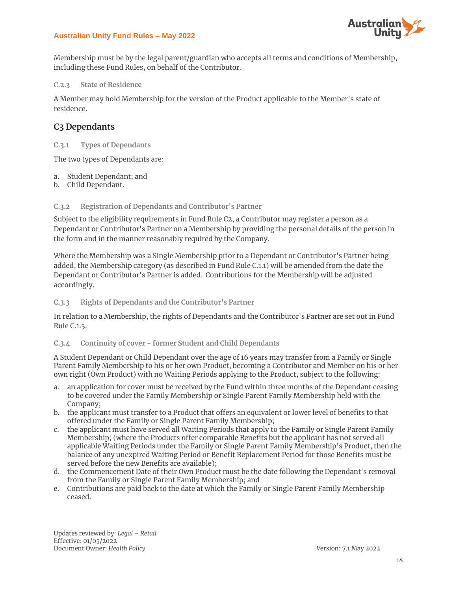

Membership must be by the legal parent/guardian who accepts all terms and conditions of Membership, including these Fund Rules, on behalf of the Contributor.

#### **C.2.3 State of Residence**

A Member may hold Membership for the version of the Product applicable to the Member's state of residence.

# **C3 Dependants**

**C.3.1 Types of Dependants**

The two types of Dependants are:

- a. Student Dependant; and
- b. Child Dependant.

#### **C.3.2 Registration of Dependants and Contributor's Partner**

Subject to the eligibility requirements in Fund Rule C2, a Contributor may register a person as a Dependant or Contributor's Partner on a Membership by providing the personal details of the person in the form and in the manner reasonably required by the Company.

Where the Membership was a Single Membership prior to a Dependant or Contributor's Partner being added, the Membership category (as described in Fund Rule C.1.1) will be amended from the date the Dependant or Contributor's Partner is added. Contributions for the Membership will be adjusted accordingly.

#### **C.3.3 Rights of Dependants and the Contributor's Partner**

In relation to a Membership, the rights of Dependants and the Contributor's Partner are set out in Fund Rule C.1.5.

#### **C.3.4 Continuity of cover - former Student and Child Dependants**

A Student Dependant or Child Dependant over the age of 16 years may transfer from a Family or Single Parent Family Membership to his or her own Product, becoming a Contributor and Member on his or her own right (Own Product) with no Waiting Periods applying to the Product, subject to the following:

- a. an application for cover must be received by the Fund within three months of the Dependant ceasing to be covered under the Family Membership or Single Parent Family Membership held with the Company;
- b. the applicant must transfer to a Product that offers an equivalent or lower level of benefits to that offered under the Family or Single Parent Family Membership;
- c. the applicant must have served all Waiting Periods that apply to the Family or Single Parent Family Membership; (where the Products offer comparable Benefits but the applicant has not served all applicable Waiting Periods under the Family or Single Parent Family Membership's Product, then the balance of any unexpired Waiting Period or Benefit Replacement Period for those Benefits must be served before the new Benefits are available);
- d. the Commencement Date of their Own Product must be the date following the Dependant's removal from the Family or Single Parent Family Membership; and
- e. Contributions are paid back to the date at which the Family or Single Parent Family Membership ceased.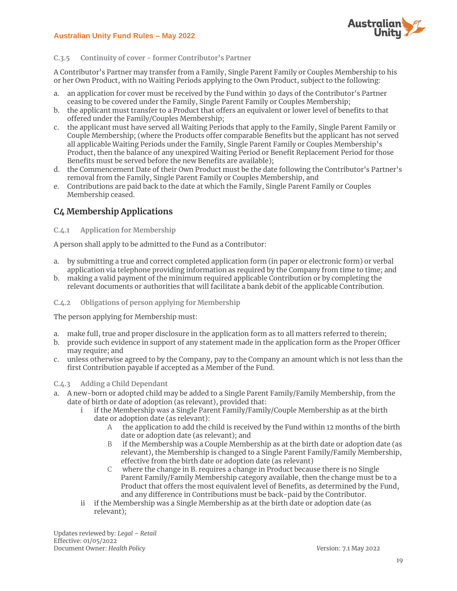

#### **C.3.5 Continuity of cover - former Contributor's Partner**

A Contributor's Partner may transfer from a Family, Single Parent Family or Couples Membership to his or her Own Product, with no Waiting Periods applying to the Own Product, subject to the following:

- a. an application for cover must be received by the Fund within 30 days of the Contributor's Partner ceasing to be covered under the Family, Single Parent Family or Couples Membership;
- b. the applicant must transfer to a Product that offers an equivalent or lower level of benefits to that offered under the Family/Couples Membership;
- c. the applicant must have served all Waiting Periods that apply to the Family, Single Parent Family or Couple Membership; (where the Products offer comparable Benefits but the applicant has not served all applicable Waiting Periods under the Family, Single Parent Family or Couples Membership's Product, then the balance of any unexpired Waiting Period or Benefit Replacement Period for those Benefits must be served before the new Benefits are available);
- d. the Commencement Date of their Own Product must be the date following the Contributor's Partner's removal from the Family, Single Parent Family or Couples Membership, and
- e. Contributions are paid back to the date at which the Family, Single Parent Family or Couples Membership ceased.

# **C4 Membership Applications**

#### **C.4.1 Application for Membership**

A person shall apply to be admitted to the Fund as a Contributor:

- a. by submitting a true and correct completed application form (in paper or electronic form) or verbal application via telephone providing information as required by the Company from time to time; and
- b. making a valid payment of the minimum required applicable Contribution or by completing the relevant documents or authorities that will facilitate a bank debit of the applicable Contribution.

#### **C.4.2 Obligations of person applying for Membership**

The person applying for Membership must:

- a. make full, true and proper disclosure in the application form as to all matters referred to therein;
- b. provide such evidence in support of any statement made in the application form as the Proper Officer may require; and
- c. unless otherwise agreed to by the Company, pay to the Company an amount which is not less than the first Contribution payable if accepted as a Member of the Fund.

#### **C.4.3 Adding a Child Dependant**

- a. A new-born or adopted child may be added to a Single Parent Family/Family Membership, from the date of birth or date of adoption (as relevant), provided that:
	- i if the Membership was a Single Parent Family/Family/Couple Membership as at the birth date or adoption date (as relevant):
		- A the application to add the child is received by the Fund within 12 months of the birth date or adoption date (as relevant); and
		- B if the Membership was a Couple Membership as at the birth date or adoption date (as relevant), the Membership is changed to a Single Parent Family/Family Membership, effective from the birth date or adoption date (as relevant)
		- C where the change in B. requires a change in Product because there is no Single Parent Family/Family Membership category available, then the change must be to a Product that offers the most equivalent level of Benefits, as determined by the Fund, and any difference in Contributions must be back-paid by the Contributor.
	- ii if the Membership was a Single Membership as at the birth date or adoption date (as relevant);

Updates reviewed by: Legal - Retail Effective: 01/05/2022 Document Owner: *Health Policy V*ersion: 7.1 May 2022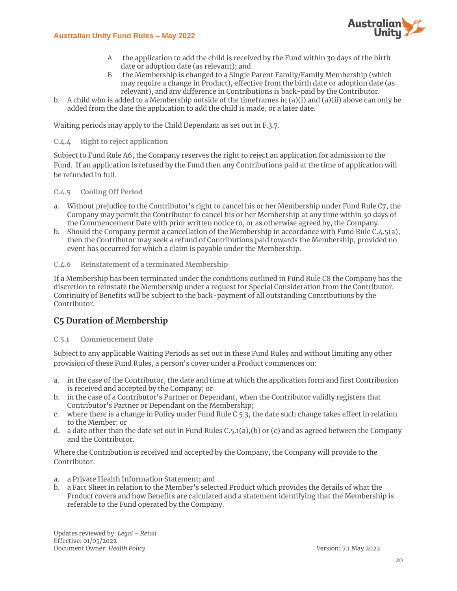

- A the application to add the child is received by the Fund within 30 days of the birth date or adoption date (as relevant); and
- B the Membership is changed to a Single Parent Family/Family Membership (which may require a change in Product), effective from the birth date or adoption date (as relevant), and any difference in Contributions is back-paid by the Contributor.
- b. A child who is added to a Membership outside of the timeframes in (a)(i) and (a)(ii) above can only be added from the date the application to add the child is made, or a later date.

Waiting periods may apply to the Child Dependant as set out in F.3.7.

#### **C.4.4 Right to reject application**

Subject to Fund Rule A6, the Company reserves the right to reject an application for admission to the Fund. If an application is refused by the Fund then any Contributions paid at the time of application will be refunded in full.

#### **C.4.5 Cooling Off Period**

- a. Without prejudice to the Contributor's right to cancel his or her Membership under Fund Rule C7, the Company may permit the Contributor to cancel his or her Membership at any time within 30 days of the Commencement Date with prior written notice to, or as otherwise agreed by, the Company.
- b. Should the Company permit a cancellation of the Membership in accordance with Fund Rule C.4.5(a), then the Contributor may seek a refund of Contributions paid towards the Membership, provided no event has occurred for which a claim is payable under the Membership.

#### **C.4.6 Reinstatement of a terminated Membership**

If a Membership has been terminated under the conditions outlined in Fund Rule C8 the Company has the discretion to reinstate the Membership under a request for Special Consideration from the Contributor. Continuity of Benefits will be subject to the back-payment of all outstanding Contributions by the Contributor.

# **C5 Duration of Membership**

#### **C.5.1 Commencement Date**

Subject to any applicable Waiting Periods as set out in these Fund Rules and without limiting any other provision of these Fund Rules, a person's cover under a Product commences on:

- a. in the case of the Contributor, the date and time at which the application form and first Contribution is received and accepted by the Company; or
- b. in the case of a Contributor's Partner or Dependant, when the Contributor validly registers that Contributor's Partner or Dependant on the Membership;
- c. where there is a change in Policy under Fund Rule C.5.3, the date such change takes effect in relation to the Member; or
- d. a date other than the date set out in Fund Rules C.5.1(a),(b) or (c) and as agreed between the Company and the Contributor.

Where the Contribution is received and accepted by the Company, the Company will provide to the Contributor:

- a. a Private Health Information Statement; and
- b. a Fact Sheet in relation to the Member's selected Product which provides the details of what the Product covers and how Benefits are calculated and a statement identifying that the Membership is referable to the Fund operated by the Company.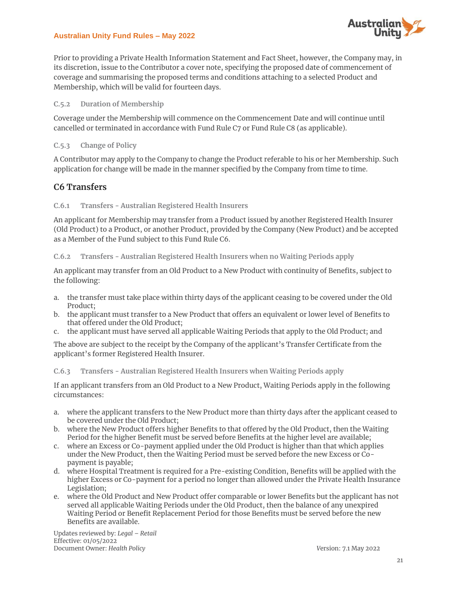

Prior to providing a Private Health Information Statement and Fact Sheet, however, the Company may, in its discretion, issue to the Contributor a cover note, specifying the proposed date of commencement of coverage and summarising the proposed terms and conditions attaching to a selected Product and Membership, which will be valid for fourteen days.

#### **C.5.2 Duration of Membership**

Coverage under the Membership will commence on the Commencement Date and will continue until cancelled or terminated in accordance with Fund Rule C7 or Fund Rule C8 (as applicable).

#### **C.5.3 Change of Policy**

A Contributor may apply to the Company to change the Product referable to his or her Membership. Such application for change will be made in the manner specified by the Company from time to time.

### **C6 Transfers**

#### **C.6.1 Transfers - Australian Registered Health Insurers**

An applicant for Membership may transfer from a Product issued by another Registered Health Insurer (Old Product) to a Product, or another Product, provided by the Company (New Product) and be accepted as a Member of the Fund subject to this Fund Rule C6.

#### **C.6.2 Transfers - Australian Registered Health Insurers when no Waiting Periods apply**

An applicant may transfer from an Old Product to a New Product with continuity of Benefits, subject to the following:

- a. the transfer must take place within thirty days of the applicant ceasing to be covered under the Old Product;
- b. the applicant must transfer to a New Product that offers an equivalent or lower level of Benefits to that offered under the Old Product;
- c. the applicant must have served all applicable Waiting Periods that apply to the Old Product; and

The above are subject to the receipt by the Company of the applicant's Transfer Certificate from the applicant's former Registered Health Insurer.

**C.6.3 Transfers - Australian Registered Health Insurers when Waiting Periods apply**

If an applicant transfers from an Old Product to a New Product, Waiting Periods apply in the following circumstances:

- a. where the applicant transfers to the New Product more than thirty days after the applicant ceased to be covered under the Old Product;
- b. where the New Product offers higher Benefits to that offered by the Old Product, then the Waiting Period for the higher Benefit must be served before Benefits at the higher level are available;
- c. where an Excess or Co-payment applied under the Old Product is higher than that which applies under the New Product, then the Waiting Period must be served before the new Excess or Copayment is payable;
- d. where Hospital Treatment is required for a Pre-existing Condition, Benefits will be applied with the higher Excess or Co-payment for a period no longer than allowed under the Private Health Insurance Legislation;
- e. where the Old Product and New Product offer comparable or lower Benefits but the applicant has not served all applicable Waiting Periods under the Old Product, then the balance of any unexpired Waiting Period or Benefit Replacement Period for those Benefits must be served before the new Benefits are available.

Updates reviewed by: Legal - Retail Effective: 01/05/2022 Document Owner: *Health Policy V*ersion: 7.1 May 2022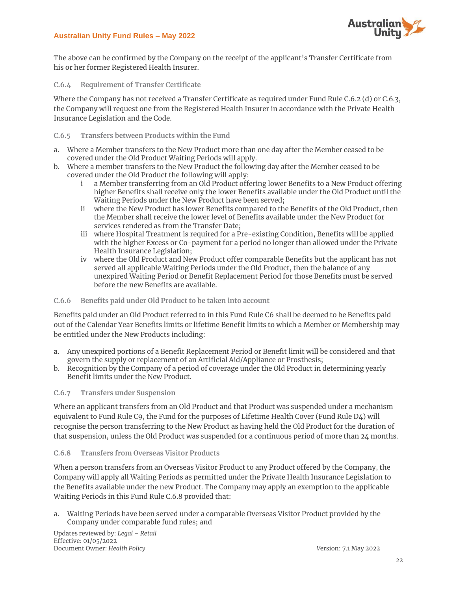

The above can be confirmed by the Company on the receipt of the applicant's Transfer Certificate from his or her former Registered Health Insurer.

#### **C.6.4 Requirement of Transfer Certificate**

Where the Company has not received a Transfer Certificate as required under Fund Rule C.6.2 (d) or C.6.3, the Company will request one from the Registered Health Insurer in accordance with the Private Health Insurance Legislation and the Code.

#### **C.6.5 Transfers between Products within the Fund**

- a. Where a Member transfers to the New Product more than one day after the Member ceased to be covered under the Old Product Waiting Periods will apply.
- b. Where a member transfers to the New Product the following day after the Member ceased to be covered under the Old Product the following will apply:
	- i a Member transferring from an Old Product offering lower Benefits to a New Product offering higher Benefits shall receive only the lower Benefits available under the Old Product until the Waiting Periods under the New Product have been served;
	- ii where the New Product has lower Benefits compared to the Benefits of the Old Product, then the Member shall receive the lower level of Benefits available under the New Product for services rendered as from the Transfer Date;
	- iii where Hospital Treatment is required for a Pre-existing Condition, Benefits will be applied with the higher Excess or Co-payment for a period no longer than allowed under the Private Health Insurance Legislation;
	- iv where the Old Product and New Product offer comparable Benefits but the applicant has not served all applicable Waiting Periods under the Old Product, then the balance of any unexpired Waiting Period or Benefit Replacement Period for those Benefits must be served before the new Benefits are available.

#### **C.6.6 Benefits paid under Old Product to be taken into account**

Benefits paid under an Old Product referred to in this Fund Rule C6 shall be deemed to be Benefits paid out of the Calendar Year Benefits limits or lifetime Benefit limits to which a Member or Membership may be entitled under the New Products including:

- a. Any unexpired portions of a Benefit Replacement Period or Benefit limit will be considered and that govern the supply or replacement of an Artificial Aid/Appliance or Prosthesis;
- b. Recognition by the Company of a period of coverage under the Old Product in determining yearly Benefit limits under the New Product.

#### **C.6.7 Transfers under Suspension**

Where an applicant transfers from an Old Product and that Product was suspended under a mechanism equivalent to Fund Rule C9, the Fund for the purposes of Lifetime Health Cover (Fund Rule D4) will recognise the person transferring to the New Product as having held the Old Product for the duration of that suspension, unless the Old Product was suspended for a continuous period of more than 24 months.

#### **C.6.8 Transfers from Overseas Visitor Products**

When a person transfers from an Overseas Visitor Product to any Product offered by the Company, the Company will apply all Waiting Periods as permitted under the Private Health Insurance Legislation to the Benefits available under the new Product. The Company may apply an exemption to the applicable Waiting Periods in this Fund Rule C.6.8 provided that:

a. Waiting Periods have been served under a comparable Overseas Visitor Product provided by the Company under comparable fund rules; and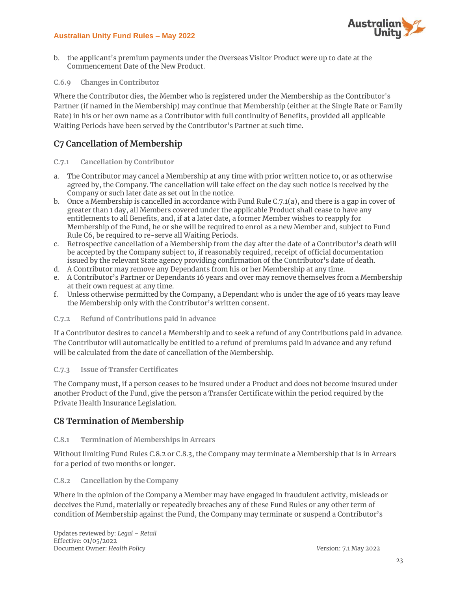

b. the applicant's premium payments under the Overseas Visitor Product were up to date at the Commencement Date of the New Product.

#### **C.6.9 Changes in Contributor**

Where the Contributor dies, the Member who is registered under the Membership as the Contributor's Partner (if named in the Membership) may continue that Membership (either at the Single Rate or Family Rate) in his or her own name as a Contributor with full continuity of Benefits, provided all applicable Waiting Periods have been served by the Contributor's Partner at such time.

# **C7 Cancellation of Membership**

#### **C.7.1 Cancellation by Contributor**

- a. The Contributor may cancel a Membership at any time with prior written notice to, or as otherwise agreed by, the Company. The cancellation will take effect on the day such notice is received by the Company or such later date as set out in the notice.
- b. Once a Membership is cancelled in accordance with Fund Rule C.7.1(a), and there is a gap in cover of greater than 1 day, all Members covered under the applicable Product shall cease to have any entitlements to all Benefits, and, if at a later date, a former Member wishes to reapply for Membership of the Fund, he or she will be required to enrol as a new Member and, subject to Fund Rule C6, be required to re-serve all Waiting Periods.
- c. Retrospective cancellation of a Membership from the day after the date of a Contributor's death will be accepted by the Company subject to, if reasonably required, receipt of official documentation issued by the relevant State agency providing confirmation of the Contributor's date of death.
- d. A Contributor may remove any Dependants from his or her Membership at any time.
- e. A Contributor's Partner or Dependants 16 years and over may remove themselves from a Membership at their own request at any time.
- f. Unless otherwise permitted by the Company, a Dependant who is under the age of 16 years may leave the Membership only with the Contributor's written consent.

#### **C.7.2 Refund of Contributions paid in advance**

If a Contributor desires to cancel a Membership and to seek a refund of any Contributions paid in advance. The Contributor will automatically be entitled to a refund of premiums paid in advance and any refund will be calculated from the date of cancellation of the Membership.

#### **C.7.3 Issue of Transfer Certificates**

The Company must, if a person ceases to be insured under a Product and does not become insured under another Product of the Fund, give the person a Transfer Certificate within the period required by the Private Health Insurance Legislation.

### **C8 Termination of Membership**

#### **C.8.1 Termination of Memberships in Arrears**

Without limiting Fund Rules C.8.2 or C.8.3, the Company may terminate a Membership that is in Arrears for a period of two months or longer.

#### **C.8.2 Cancellation by the Company**

Where in the opinion of the Company a Member may have engaged in fraudulent activity, misleads or deceives the Fund, materially or repeatedly breaches any of these Fund Rules or any other term of condition of Membership against the Fund, the Company may terminate or suspend a Contributor's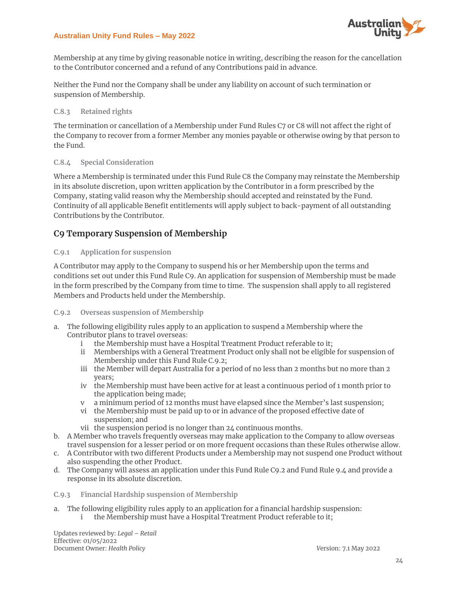

Membership at any time by giving reasonable notice in writing, describing the reason for the cancellation to the Contributor concerned and a refund of any Contributions paid in advance.

Neither the Fund nor the Company shall be under any liability on account of such termination or suspension of Membership.

#### **C.8.3 Retained rights**

The termination or cancellation of a Membership under Fund Rules C7 or C8 will not affect the right of the Company to recover from a former Member any monies payable or otherwise owing by that person to the Fund.

#### **C.8.4 Special Consideration**

Where a Membership is terminated under this Fund Rule C8 the Company may reinstate the Membership in its absolute discretion, upon written application by the Contributor in a form prescribed by the Company, stating valid reason why the Membership should accepted and reinstated by the Fund. Continuity of all applicable Benefit entitlements will apply subject to back-payment of all outstanding Contributions by the Contributor.

# **C9 Temporary Suspension of Membership**

#### **C.9.1 Application for suspension**

A Contributor may apply to the Company to suspend his or her Membership upon the terms and conditions set out under this Fund Rule C9. An application for suspension of Membership must be made in the form prescribed by the Company from time to time. The suspension shall apply to all registered Members and Products held under the Membership.

#### **C.9.2 Overseas suspension of Membership**

- a. The following eligibility rules apply to an application to suspend a Membership where the Contributor plans to travel overseas:
	- i the Membership must have a Hospital Treatment Product referable to it;
	- ii Memberships with a General Treatment Product only shall not be eligible for suspension of Membership under this Fund Rule C.9.2;
	- iii the Member will depart Australia for a period of no less than 2 months but no more than 2 years;
	- iv the Membership must have been active for at least a continuous period of 1 month prior to the application being made;
	- v a minimum period of 12 months must have elapsed since the Member's last suspension;
	- vi the Membership must be paid up to or in advance of the proposed effective date of suspension; and
	- vii the suspension period is no longer than 24 continuous months.
- b. A Member who travels frequently overseas may make application to the Company to allow overseas travel suspension for a lesser period or on more frequent occasions than these Rules otherwise allow.
- c. A Contributor with two different Products under a Membership may not suspend one Product without also suspending the other Product.
- d. The Company will assess an application under this Fund Rule C9.2 and Fund Rule 9.4 and provide a response in its absolute discretion.
- **C.9.3 Financial Hardship suspension of Membership**
- a. The following eligibility rules apply to an application for a financial hardship suspension: i the Membership must have a Hospital Treatment Product referable to it;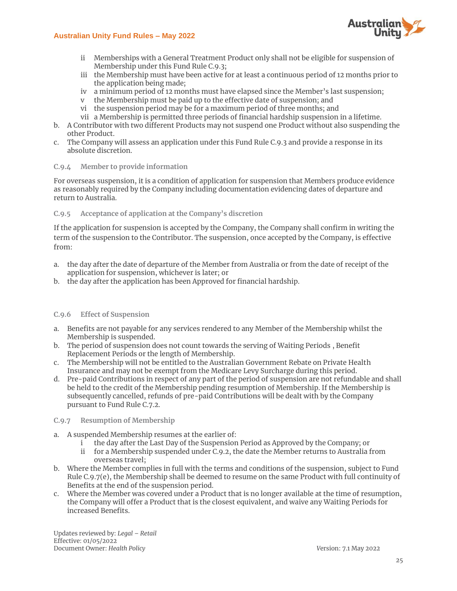

- ii Memberships with a General Treatment Product only shall not be eligible for suspension of Membership under this Fund Rule C.9.3;
- iii the Membership must have been active for at least a continuous period of 12 months prior to the application being made;
- iv a minimum period of 12 months must have elapsed since the Member's last suspension;
- v the Membership must be paid up to the effective date of suspension; and
- vi the suspension period may be for a maximum period of three months; and
- vii a Membership is permitted three periods of financial hardship suspension in a lifetime.
- b. A Contributor with two different Products may not suspend one Product without also suspending the other Product.
- c. The Company will assess an application under this Fund Rule C.9.3 and provide a response in its absolute discretion.

#### **C.9.4 Member to provide information**

For overseas suspension, it is a condition of application for suspension that Members produce evidence as reasonably required by the Company including documentation evidencing dates of departure and return to Australia.

#### **C.9.5 Acceptance of application at the Company's discretion**

If the application for suspension is accepted by the Company, the Company shall confirm in writing the term of the suspension to the Contributor. The suspension, once accepted by the Company, is effective from:

- a. the day after the date of departure of the Member from Australia or from the date of receipt of the application for suspension, whichever is later; or
- b. the day after the application has been Approved for financial hardship.

#### **C.9.6 Effect of Suspension**

- a. Benefits are not payable for any services rendered to any Member of the Membership whilst the Membership is suspended.
- b. The period of suspension does not count towards the serving of Waiting Periods , Benefit Replacement Periods or the length of Membership.
- c. The Membership will not be entitled to the Australian Government Rebate on Private Health Insurance and may not be exempt from the Medicare Levy Surcharge during this period.
- d. Pre-paid Contributions in respect of any part of the period of suspension are not refundable and shall be held to the credit of the Membership pending resumption of Membership. If the Membership is subsequently cancelled, refunds of pre-paid Contributions will be dealt with by the Company pursuant to Fund Rule C.7.2.

#### **C.9.7 Resumption of Membership**

- a. A suspended Membership resumes at the earlier of:
	- i the day after the Last Day of the Suspension Period as Approved by the Company; or
	- ii for a Membership suspended under C.9.2, the date the Member returns to Australia from overseas travel;
- b. Where the Member complies in full with the terms and conditions of the suspension, subject to Fund Rule C.9.7(e), the Membership shall be deemed to resume on the same Product with full continuity of Benefits at the end of the suspension period.
- c. Where the Member was covered under a Product that is no longer available at the time of resumption, the Company will offer a Product that is the closest equivalent, and waive any Waiting Periods for increased Benefits.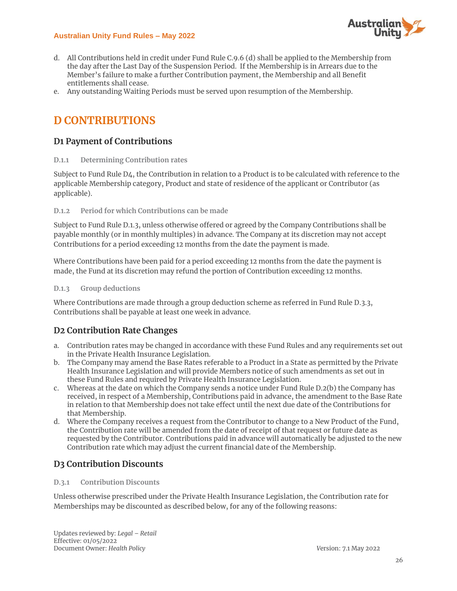

- d. All Contributions held in credit under Fund Rule C.9.6 (d) shall be applied to the Membership from the day after the Last Day of the Suspension Period. If the Membership is in Arrears due to the Member's failure to make a further Contribution payment, the Membership and all Benefit entitlements shall cease.
- e. Any outstanding Waiting Periods must be served upon resumption of the Membership.

# **D CONTRIBUTIONS**

# **D1 Payment of Contributions**

**D.1.1 Determining Contribution rates**

Subject to Fund Rule D4, the Contribution in relation to a Product is to be calculated with reference to the applicable Membership category, Product and state of residence of the applicant or Contributor (as applicable).

#### **D.1.2 Period for which Contributions can be made**

Subject to Fund Rule D.1.3, unless otherwise offered or agreed by the Company Contributions shall be payable monthly (or in monthly multiples) in advance. The Company at its discretion may not accept Contributions for a period exceeding 12 months from the date the payment is made.

Where Contributions have been paid for a period exceeding 12 months from the date the payment is made, the Fund at its discretion may refund the portion of Contribution exceeding 12 months.

#### **D.1.3 Group deductions**

Where Contributions are made through a group deduction scheme as referred in Fund Rule D.3.3, Contributions shall be payable at least one week in advance.

# **D2 Contribution Rate Changes**

- a. Contribution rates may be changed in accordance with these Fund Rules and any requirements set out in the Private Health Insurance Legislation.
- b. The Company may amend the Base Rates referable to a Product in a State as permitted by the Private Health Insurance Legislation and will provide Members notice of such amendments as set out in these Fund Rules and required by Private Health Insurance Legislation.
- c. Whereas at the date on which the Company sends a notice under Fund Rule D.2(b) the Company has received, in respect of a Membership, Contributions paid in advance, the amendment to the Base Rate in relation to that Membership does not take effect until the next due date of the Contributions for that Membership.
- d. Where the Company receives a request from the Contributor to change to a New Product of the Fund, the Contribution rate will be amended from the date of receipt of that request or future date as requested by the Contributor. Contributions paid in advance will automatically be adjusted to the new Contribution rate which may adjust the current financial date of the Membership.

# **D3 Contribution Discounts**

#### **D.3.1 Contribution Discounts**

Unless otherwise prescribed under the Private Health Insurance Legislation, the Contribution rate for Memberships may be discounted as described below, for any of the following reasons: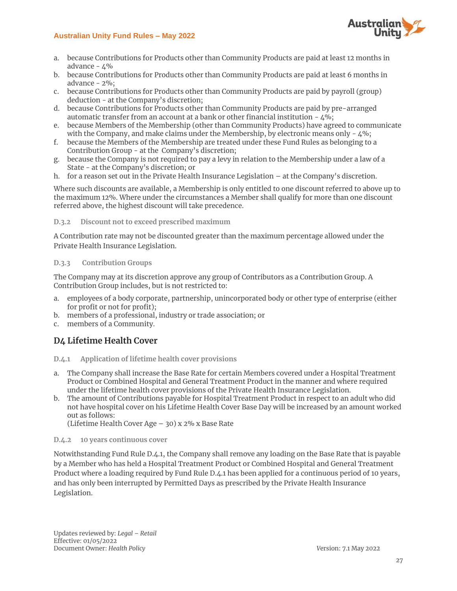

- a. because Contributions for Products other than Community Products are paid at least 12 months in advance -  $4\%$
- b. because Contributions for Products other than Community Products are paid at least 6 months in advance - 2%;
- c. because Contributions for Products other than Community Products are paid by payroll (group) deduction - at the Company's discretion;
- d. because Contributions for Products other than Community Products are paid by pre-arranged automatic transfer from an account at a bank or other financial institution  $-4\%$ ;
- e. because Members of the Membership (other than Community Products) have agreed to communicate with the Company, and make claims under the Membership, by electronic means only  $-4\%$ ;
- f. because the Members of the Membership are treated under these Fund Rules as belonging to a Contribution Group - at the Company's discretion;
- g. because the Company is not required to pay a levy in relation to the Membership under a law of a State - at the Company's discretion; or
- h. for a reason set out in the Private Health Insurance Legislation at the Company's discretion.

Where such discounts are available, a Membership is only entitled to one discount referred to above up to the maximum 12%. Where under the circumstances a Member shall qualify for more than one discount referred above, the highest discount will take precedence.

#### **D.3.2 Discount not to exceed prescribed maximum**

A Contribution rate may not be discounted greater than the maximum percentage allowed under the Private Health Insurance Legislation.

#### **D.3.3 Contribution Groups**

The Company may at its discretion approve any group of Contributors as a Contribution Group. A Contribution Group includes, but is not restricted to:

- a. employees of a body corporate, partnership, unincorporated body or other type of enterprise (either for profit or not for profit);
- b. members of a professional, industry or trade association; or
- c. members of a Community.

# **D4 Lifetime Health Cover**

#### **D.4.1 Application of lifetime health cover provisions**

- a. The Company shall increase the Base Rate for certain Members covered under a Hospital Treatment Product or Combined Hospital and General Treatment Product in the manner and where required under the lifetime health cover provisions of the Private Health Insurance Legislation.
- b. The amount of Contributions payable for Hospital Treatment Product in respect to an adult who did not have hospital cover on his Lifetime Health Cover Base Day will be increased by an amount worked out as follows:

(Lifetime Health Cover Age – 30) x 2% x Base Rate

#### **D.4.2 10 years continuous cover**

Notwithstanding Fund Rule D.4.1, the Company shall remove any loading on the Base Rate that is payable by a Member who has held a Hospital Treatment Product or Combined Hospital and General Treatment Product where a loading required by Fund Rule D.4.1 has been applied for a continuous period of 10 years, and has only been interrupted by Permitted Days as prescribed by the Private Health Insurance Legislation.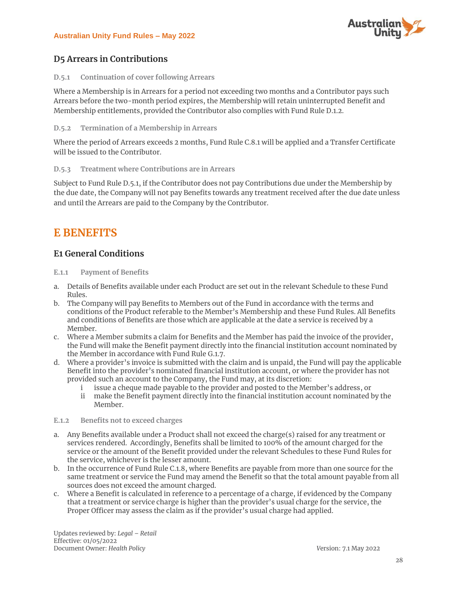

# **D5 Arrears in Contributions**

#### **D.5.1 Continuation of cover following Arrears**

Where a Membership is in Arrears for a period not exceeding two months and a Contributor pays such Arrears before the two-month period expires, the Membership will retain uninterrupted Benefit and Membership entitlements, provided the Contributor also complies with Fund Rule D.1.2.

#### **D.5.2 Termination of a Membership in Arrears**

Where the period of Arrears exceeds 2 months, Fund Rule C.8.1 will be applied and a Transfer Certificate will be issued to the Contributor.

#### **D.5.3 Treatment where Contributions are in Arrears**

Subject to Fund Rule D.5.1, if the Contributor does not pay Contributions due under the Membership by the due date, the Company will not pay Benefits towards any treatment received after the due date unless and until the Arrears are paid to the Company by the Contributor.

# **E BENEFITS**

# **E1 General Conditions**

#### **E.1.1 Payment of Benefits**

- a. Details of Benefits available under each Product are set out in the relevant Schedule to these Fund Rules.
- b. The Company will pay Benefits to Members out of the Fund in accordance with the terms and conditions of the Product referable to the Member's Membership and these Fund Rules. All Benefits and conditions of Benefits are those which are applicable at the date a service is received by a Member.
- c. Where a Member submits a claim for Benefits and the Member has paid the invoice of the provider, the Fund will make the Benefit payment directly into the financial institution account nominated by the Member in accordance with Fund Rule G.1.7.
- d. Where a provider's invoice is submitted with the claim and is unpaid, the Fund will pay the applicable Benefit into the provider's nominated financial institution account, or where the provider has not provided such an account to the Company, the Fund may, at its discretion:
	- i issue a cheque made payable to the provider and posted to the Member's address, or
	- ii make the Benefit payment directly into the financial institution account nominated by the Member.

#### **E.1.2 Benefits not to exceed charges**

- a. Any Benefits available under a Product shall not exceed the charge(s) raised for any treatment or services rendered. Accordingly, Benefits shall be limited to 100% of the amount charged for the service or the amount of the Benefit provided under the relevant Schedules to these Fund Rules for the service, whichever is the lesser amount.
- b. In the occurrence of Fund Rule C.1.8, where Benefits are payable from more than one source for the same treatment or service the Fund may amend the Benefit so that the total amount payable from all sources does not exceed the amount charged.
- c. Where a Benefit is calculated in reference to a percentage of a charge, if evidenced by the Company that a treatment or service charge is higher than the provider's usual charge for the service, the Proper Officer may assess the claim as if the provider's usual charge had applied.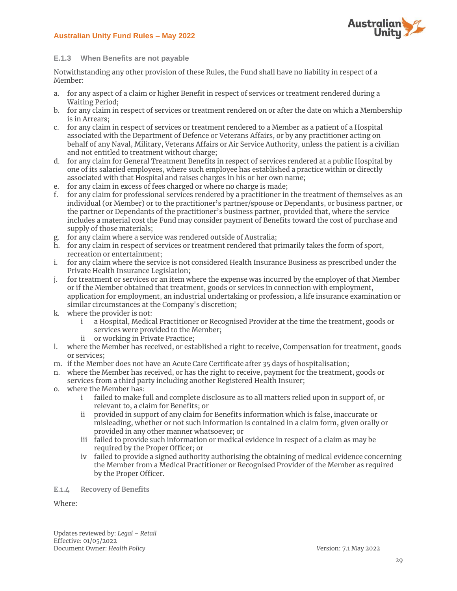

#### **E.1.3 When Benefits are not payable**

Notwithstanding any other provision of these Rules, the Fund shall have no liability in respect of a Member:

- a. for any aspect of a claim or higher Benefit in respect of services or treatment rendered during a Waiting Period;
- b. for any claim in respect of services or treatment rendered on or after the date on which a Membership is in Arrears;
- c. for any claim in respect of services or treatment rendered to a Member as a patient of a Hospital associated with the Department of Defence or Veterans Affairs, or by any practitioner acting on behalf of any Naval, Military, Veterans Affairs or Air Service Authority, unless the patient is a civilian and not entitled to treatment without charge;
- d. for any claim for General Treatment Benefits in respect of services rendered at a public Hospital by one of its salaried employees, where such employee has established a practice within or directly associated with that Hospital and raises charges in his or her own name;
- e. for any claim in excess of fees charged or where no charge is made;
- f. for any claim for professional services rendered by a practitioner in the treatment of themselves as an individual (or Member) or to the practitioner's partner/spouse or Dependants, or business partner, or the partner or Dependants of the practitioner's business partner, provided that, where the service includes a material cost the Fund may consider payment of Benefits toward the cost of purchase and supply of those materials;
- g. for any claim where a service was rendered outside of Australia;
- h. for any claim in respect of services or treatment rendered that primarily takes the form of sport, recreation or entertainment;
- i. for any claim where the service is not considered Health Insurance Business as prescribed under the Private Health Insurance Legislation;
- j. for treatment or services or an item where the expense was incurred by the employer of that Member or if the Member obtained that treatment, goods or services in connection with employment, application for employment, an industrial undertaking or profession, a life insurance examination or similar circumstances at the Company's discretion;
- k. where the provider is not:
	- i a Hospital, Medical Practitioner or Recognised Provider at the time the treatment, goods or services were provided to the Member;
	- ii or working in Private Practice;
- l. where the Member has received, or established a right to receive, Compensation for treatment, goods or services;
- m. if the Member does not have an Acute Care Certificate after 35 days of hospitalisation;
- n. where the Member has received, or has the right to receive, payment for the treatment, goods or services from a third party including another Registered Health Insurer;
- o. where the Member has:
	- i failed to make full and complete disclosure as to all matters relied upon in support of, or relevant to, a claim for Benefits; or
	- ii provided in support of any claim for Benefits information which is false, inaccurate or misleading, whether or not such information is contained in a claim form, given orally or provided in any other manner whatsoever; or
	- iii failed to provide such information or medical evidence in respect of a claim as may be required by the Proper Officer; or
	- iv failed to provide a signed authority authorising the obtaining of medical evidence concerning the Member from a Medical Practitioner or Recognised Provider of the Member as required by the Proper Officer.

**E.1.4 Recovery of Benefits**

Where: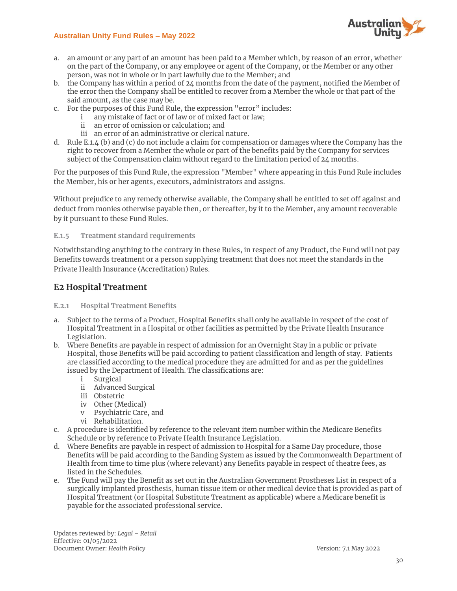

- a. an amount or any part of an amount has been paid to a Member which, by reason of an error, whether on the part of the Company, or any employee or agent of the Company, or the Member or any other person, was not in whole or in part lawfully due to the Member; and
- b. the Company has within a period of 24 months from the date of the payment, notified the Member of the error then the Company shall be entitled to recover from a Member the whole or that part of the said amount, as the case may be.
- c. For the purposes of this Fund Rule, the expression "error" includes:
	- i any mistake of fact or of law or of mixed fact or law;
	- ii an error of omission or calculation; and
	- iii an error of an administrative or clerical nature.
- d. Rule E.1.4 (b) and (c) do not include a claim for compensation or damages where the Company has the right to recover from a Member the whole or part of the benefits paid by the Company for services subject of the Compensation claim without regard to the limitation period of 24 months.

For the purposes of this Fund Rule, the expression "Member" where appearing in this Fund Rule includes the Member, his or her agents, executors, administrators and assigns.

Without prejudice to any remedy otherwise available, the Company shall be entitled to set off against and deduct from monies otherwise payable then, or thereafter, by it to the Member, any amount recoverable by it pursuant to these Fund Rules.

#### **E.1.5 Treatment standard requirements**

Notwithstanding anything to the contrary in these Rules, in respect of any Product, the Fund will not pay Benefits towards treatment or a person supplying treatment that does not meet the standards in the Private Health Insurance (Accreditation) Rules.

# **E2 Hospital Treatment**

#### **E.2.1 Hospital Treatment Benefits**

- a. Subject to the terms of a Product, Hospital Benefits shall only be available in respect of the cost of Hospital Treatment in a Hospital or other facilities as permitted by the Private Health Insurance Legislation.
- b. Where Benefits are payable in respect of admission for an Overnight Stay in a public or private Hospital, those Benefits will be paid according to patient classification and length of stay. Patients are classified according to the medical procedure they are admitted for and as per the guidelines issued by the Department of Health. The classifications are:
	- Surgical
	- ii Advanced Surgical
	- iii Obstetric
	- iv Other (Medical)
	- v Psychiatric Care, and
	- vi Rehabilitation.
- c. A procedure is identified by reference to the relevant item number within the Medicare Benefits Schedule or by reference to Private Health Insurance Legislation.
- d. Where Benefits are payable in respect of admission to Hospital for a Same Day procedure, those Benefits will be paid according to the Banding System as issued by the Commonwealth Department of Health from time to time plus (where relevant) any Benefits payable in respect of theatre fees, as listed in the Schedules.
- e. The Fund will pay the Benefit as set out in the Australian Government Prostheses List in respect of a surgically implanted prosthesis, human tissue item or other medical device that is provided as part of Hospital Treatment (or Hospital Substitute Treatment as applicable) where a Medicare benefit is payable for the associated professional service.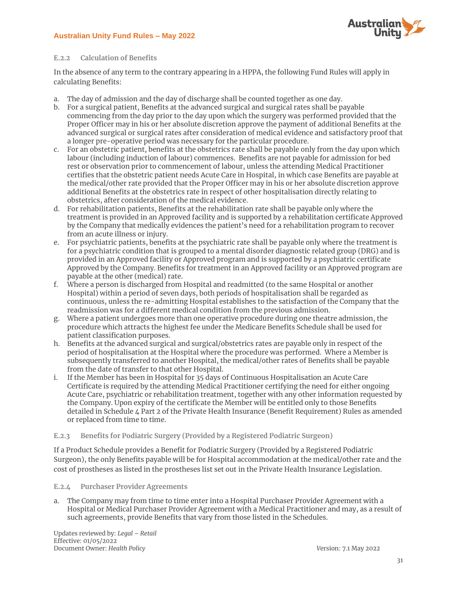

#### **E.2.2 Calculation of Benefits**

In the absence of any term to the contrary appearing in a HPPA, the following Fund Rules will apply in calculating Benefits:

- a. The day of admission and the day of discharge shall be counted together as one day.
- b. For a surgical patient, Benefits at the advanced surgical and surgical rates shall be payable commencing from the day prior to the day upon which the surgery was performed provided that the Proper Officer may in his or her absolute discretion approve the payment of additional Benefits at the advanced surgical or surgical rates after consideration of medical evidence and satisfactory proof that a longer pre-operative period was necessary for the particular procedure.
- c. For an obstetric patient, benefits at the obstetrics rate shall be payable only from the day upon which labour (including induction of labour) commences. Benefits are not payable for admission for bed rest or observation prior to commencement of labour, unless the attending Medical Practitioner certifies that the obstetric patient needs Acute Care in Hospital, in which case Benefits are payable at the medical/other rate provided that the Proper Officer may in his or her absolute discretion approve additional Benefits at the obstetrics rate in respect of other hospitalisation directly relating to obstetrics, after consideration of the medical evidence.
- d. For rehabilitation patients, Benefits at the rehabilitation rate shall be payable only where the treatment is provided in an Approved facility and is supported by a rehabilitation certificate Approved by the Company that medically evidences the patient's need for a rehabilitation program to recover from an acute illness or injury.
- e. For psychiatric patients, benefits at the psychiatric rate shall be payable only where the treatment is for a psychiatric condition that is grouped to a mental disorder diagnostic related group (DRG) and is provided in an Approved facility or Approved program and is supported by a psychiatric certificate Approved by the Company. Benefits for treatment in an Approved facility or an Approved program are payable at the other (medical) rate.
- f. Where a person is discharged from Hospital and readmitted (to the same Hospital or another Hospital) within a period of seven days, both periods of hospitalisation shall be regarded as continuous, unless the re-admitting Hospital establishes to the satisfaction of the Company that the readmission was for a different medical condition from the previous admission.
- g. Where a patient undergoes more than one operative procedure during one theatre admission, the procedure which attracts the highest fee under the Medicare Benefits Schedule shall be used for patient classification purposes.
- h. Benefits at the advanced surgical and surgical/obstetrics rates are payable only in respect of the period of hospitalisation at the Hospital where the procedure was performed. Where a Member is subsequently transferred to another Hospital, the medical/other rates of Benefits shall be payable from the date of transfer to that other Hospital.
- i. If the Member has been in Hospital for 35 days of Continuous Hospitalisation an Acute Care Certificate is required by the attending Medical Practitioner certifying the need for either ongoing Acute Care, psychiatric or rehabilitation treatment, together with any other information requested by the Company. Upon expiry of the certificate the Member will be entitled only to those Benefits detailed in Schedule 4 Part 2 of the Private Health Insurance (Benefit Requirement) Rules as amended or replaced from time to time.

#### **E.2.3 Benefits for Podiatric Surgery (Provided by a Registered Podiatric Surgeon)**

If a Product Schedule provides a Benefit for Podiatric Surgery (Provided by a Registered Podiatric Surgeon), the only Benefits payable will be for Hospital accommodation at the medical/other rate and the cost of prostheses as listed in the prostheses list set out in the Private Health Insurance Legislation.

**E.2.4 Purchaser Provider Agreements**

a. The Company may from time to time enter into a Hospital Purchaser Provider Agreement with a Hospital or Medical Purchaser Provider Agreement with a Medical Practitioner and may, as a result of such agreements, provide Benefits that vary from those listed in the Schedules.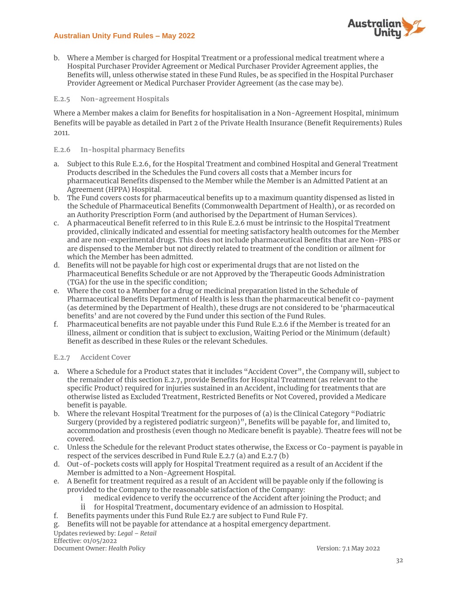

b. Where a Member is charged for Hospital Treatment or a professional medical treatment where a Hospital Purchaser Provider Agreement or Medical Purchaser Provider Agreement applies, the Benefits will, unless otherwise stated in these Fund Rules, be as specified in the Hospital Purchaser Provider Agreement or Medical Purchaser Provider Agreement (as the case may be).

#### **E.2.5 Non-agreement Hospitals**

Where a Member makes a claim for Benefits for hospitalisation in a Non-Agreement Hospital, minimum Benefits will be payable as detailed in Part 2 of the Private Health Insurance (Benefit Requirements) Rules 2011.

#### **E.2.6 In-hospital pharmacy Benefits**

- a. Subject to this Rule E.2.6, for the Hospital Treatment and combined Hospital and General Treatment Products described in the Schedules the Fund covers all costs that a Member incurs for pharmaceutical Benefits dispensed to the Member while the Member is an Admitted Patient at an Agreement (HPPA) Hospital.
- b. The Fund covers costs for pharmaceutical benefits up to a maximum quantity dispensed as listed in the Schedule of Pharmaceutical Benefits (Commonwealth Department of Health), or as recorded on an Authority Prescription Form (and authorised by the Department of Human Services).
- c. A pharmaceutical Benefit referred to in this Rule E.2.6 must be intrinsic to the Hospital Treatment provided, clinically indicated and essential for meeting satisfactory health outcomes for the Member and are non-experimental drugs. This does not include pharmaceutical Benefits that are Non-PBS or are dispensed to the Member but not directly related to treatment of the condition or ailment for which the Member has been admitted.
- d. Benefits will not be payable for high cost or experimental drugs that are not listed on the Pharmaceutical Benefits Schedule or are not Approved by the Therapeutic Goods Administration (TGA) for the use in the specific condition;
- e. Where the cost to a Member for a drug or medicinal preparation listed in the Schedule of Pharmaceutical Benefits Department of Health is less than the pharmaceutical benefit co-payment (as determined by the Department of Health), these drugs are not considered to be 'pharmaceutical benefits' and are not covered by the Fund under this section of the Fund Rules.
- f. Pharmaceutical benefits are not payable under this Fund Rule E.2.6 if the Member is treated for an illness, ailment or condition that is subject to exclusion, Waiting Period or the Minimum (default) Benefit as described in these Rules or the relevant Schedules.

#### **E.2.7 Accident Cover**

- a. Where a Schedule for a Product states that it includes "Accident Cover", the Company will, subject to the remainder of this section E.2.7, provide Benefits for Hospital Treatment (as relevant to the specific Product) required for injuries sustained in an Accident, including for treatments that are otherwise listed as Excluded Treatment, Restricted Benefits or Not Covered, provided a Medicare benefit is payable.
- b. Where the relevant Hospital Treatment for the purposes of (a) is the Clinical Category "Podiatric Surgery (provided by a registered podiatric surgeon)", Benefits will be payable for, and limited to, accommodation and prosthesis (even though no Medicare benefit is payable). Theatre fees will not be covered.
- c. Unless the Schedule for the relevant Product states otherwise, the Excess or Co-payment is payable in respect of the services described in Fund Rule E.2.7 (a) and E.2.7 (b)
- d. Out-of-pockets costs will apply for Hospital Treatment required as a result of an Accident if the Member is admitted to a Non-Agreement Hospital.
- e. A Benefit for treatment required as a result of an Accident will be payable only if the following is provided to the Company to the reasonable satisfaction of the Company:
	- i medical evidence to verify the occurrence of the Accident after joining the Product; and
	- ii for Hospital Treatment, documentary evidence of an admission to Hospital.
- f. Benefits payments under this Fund Rule E2.7 are subject to Fund Rule F7.
- g. Benefits will not be payable for attendance at a hospital emergency department.

Updates reviewed by: Legal - Retail Effective: 01/05/2022 Document Owner: *Health Policy V*ersion: 7.1 May 2022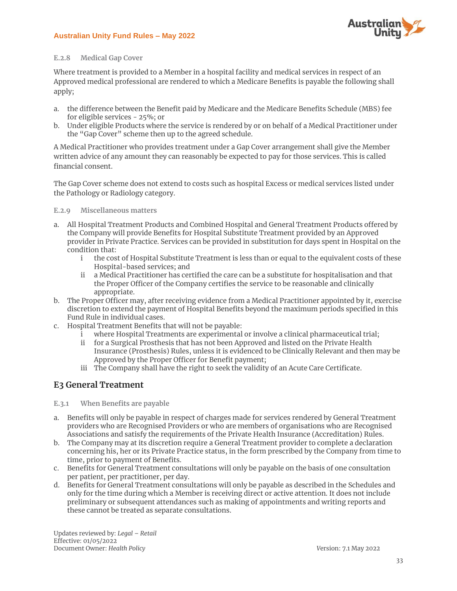

#### **E.2.8 Medical Gap Cover**

Where treatment is provided to a Member in a hospital facility and medical services in respect of an Approved medical professional are rendered to which a Medicare Benefits is payable the following shall apply;

- a. the difference between the Benefit paid by Medicare and the Medicare Benefits Schedule (MBS) fee for eligible services - 25%; or
- b. Under eligible Products where the service is rendered by or on behalf of a Medical Practitioner under the "Gap Cover" scheme then up to the agreed schedule.

A Medical Practitioner who provides treatment under a Gap Cover arrangement shall give the Member written advice of any amount they can reasonably be expected to pay for those services. This is called financial consent.

The Gap Cover scheme does not extend to costs such as hospital Excess or medical services listed under the Pathology or Radiology category.

#### **E.2.9 Miscellaneous matters**

- a. All Hospital Treatment Products and Combined Hospital and General Treatment Products offered by the Company will provide Benefits for Hospital Substitute Treatment provided by an Approved provider in Private Practice. Services can be provided in substitution for days spent in Hospital on the condition that:
	- i the cost of Hospital Substitute Treatment is less than or equal to the equivalent costs of these Hospital-based services; and
	- ii a Medical Practitioner has certified the care can be a substitute for hospitalisation and that the Proper Officer of the Company certifies the service to be reasonable and clinically appropriate.
- b. The Proper Officer may, after receiving evidence from a Medical Practitioner appointed by it, exercise discretion to extend the payment of Hospital Benefits beyond the maximum periods specified in this Fund Rule in individual cases.
- c. Hospital Treatment Benefits that will not be payable:
	- i where Hospital Treatments are experimental or involve a clinical pharmaceutical trial;
	- ii for a Surgical Prosthesis that has not been Approved and listed on the Private Health Insurance (Prosthesis) Rules, unless it is evidenced to be Clinically Relevant and then may be Approved by the Proper Officer for Benefit payment;
	- iii The Company shall have the right to seek the validity of an Acute Care Certificate.

# **E3 General Treatment**

- **E.3.1 When Benefits are payable**
- a. Benefits will only be payable in respect of charges made for services rendered by General Treatment providers who are Recognised Providers or who are members of organisations who are Recognised Associations and satisfy the requirements of the Private Health Insurance (Accreditation) Rules.
- b. The Company may at its discretion require a General Treatment provider to complete a declaration concerning his, her or its Private Practice status, in the form prescribed by the Company from time to time, prior to payment of Benefits.
- c. Benefits for General Treatment consultations will only be payable on the basis of one consultation per patient, per practitioner, per day.
- d. Benefits for General Treatment consultations will only be payable as described in the Schedules and only for the time during which a Member is receiving direct or active attention. It does not include preliminary or subsequent attendances such as making of appointments and writing reports and these cannot be treated as separate consultations.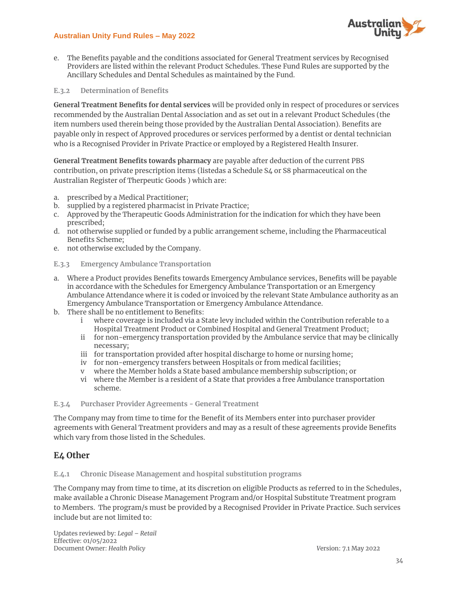

e. The Benefits payable and the conditions associated for General Treatment services by Recognised Providers are listed within the relevant Product Schedules. These Fund Rules are supported by the Ancillary Schedules and Dental Schedules as maintained by the Fund.

#### **E.3.2 Determination of Benefits**

**General Treatment Benefits for dental services** will be provided only in respect of procedures or services recommended by the Australian Dental Association and as set out in a relevant Product Schedules (the item numbers used therein being those provided by the Australian Dental Association). Benefits are payable only in respect of Approved procedures or services performed by a dentist or dental technician who is a Recognised Provider in Private Practice or employed by a Registered Health Insurer.

**General Treatment Benefits towards pharmacy** are payable after deduction of the current PBS contribution, on private prescription items (listedas a Schedule S4 or S8 pharmaceutical on the Australian Register of Therpeutic Goods ) which are:

- a. prescribed by a Medical Practitioner;
- b. supplied by a registered pharmacist in Private Practice;
- c. Approved by the Therapeutic Goods Administration for the indication for which they have been prescribed;
- d. not otherwise supplied or funded by a public arrangement scheme, including the Pharmaceutical Benefits Scheme;
- e. not otherwise excluded by the Company.

#### **E.3.3 Emergency Ambulance Transportation**

- a. Where a Product provides Benefits towards Emergency Ambulance services, Benefits will be payable in accordance with the Schedules for Emergency Ambulance Transportation or an Emergency Ambulance Attendance where it is coded or invoiced by the relevant State Ambulance authority as an Emergency Ambulance Transportation or Emergency Ambulance Attendance.
- b. There shall be no entitlement to Benefits:
	- i where coverage is included via a State levy included within the Contribution referable to a Hospital Treatment Product or Combined Hospital and General Treatment Product;
	- ii for non-emergency transportation provided by the Ambulance service that may be clinically necessary;
	- iii for transportation provided after hospital discharge to home or nursing home;
	- iv for non-emergency transfers between Hospitals or from medical facilities;
	- v where the Member holds a State based ambulance membership subscription; or
	- vi where the Member is a resident of a State that provides a free Ambulance transportation scheme.
- **E.3.4 Purchaser Provider Agreements - General Treatment**

The Company may from time to time for the Benefit of its Members enter into purchaser provider agreements with General Treatment providers and may as a result of these agreements provide Benefits which vary from those listed in the Schedules.

# **E4 Other**

**E.4.1 Chronic Disease Management and hospital substitution programs**

The Company may from time to time, at its discretion on eligible Products as referred to in the Schedules, make available a Chronic Disease Management Program and/or Hospital Substitute Treatment program to Members. The program/s must be provided by a Recognised Provider in Private Practice. Such services include but are not limited to: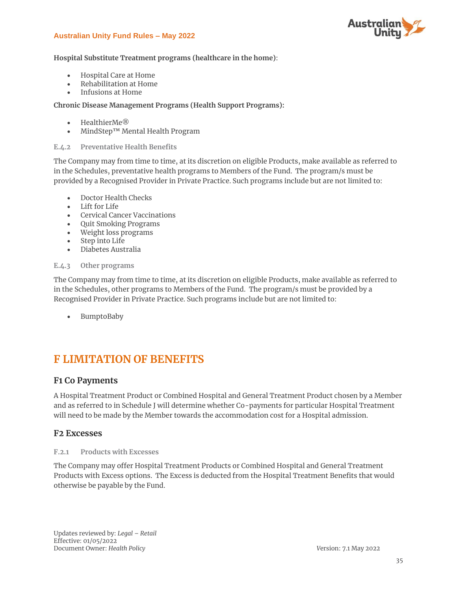

#### **Hospital Substitute Treatment programs (healthcare in the home)**:

- Hospital Care at Home
- Rehabilitation at Home
- Infusions at Home

#### **Chronic Disease Management Programs (Health Support Programs):**

- HealthierMe®
- MindStep™ Mental Health Program

#### **E.4.2 Preventative Health Benefits**

The Company may from time to time, at its discretion on eligible Products, make available as referred to in the Schedules, preventative health programs to Members of the Fund. The program/s must be provided by a Recognised Provider in Private Practice. Such programs include but are not limited to:

- Doctor Health Checks
- Lift for Life
- Cervical Cancer Vaccinations
- Quit Smoking Programs
- Weight loss programs
- Step into Life
- Diabetes Australia

#### **E.4.3 Other programs**

The Company may from time to time, at its discretion on eligible Products, make available as referred to in the Schedules, other programs to Members of the Fund. The program/s must be provided by a Recognised Provider in Private Practice. Such programs include but are not limited to:

• BumptoBaby

# **F LIMITATION OF BENEFITS**

#### **F1 Co Payments**

A Hospital Treatment Product or Combined Hospital and General Treatment Product chosen by a Member and as referred to in Schedule J will determine whether Co-payments for particular Hospital Treatment will need to be made by the Member towards the accommodation cost for a Hospital admission.

### **F2 Excesses**

#### **F.2.1 Products with Excesses**

The Company may offer Hospital Treatment Products or Combined Hospital and General Treatment Products with Excess options. The Excess is deducted from the Hospital Treatment Benefits that would otherwise be payable by the Fund.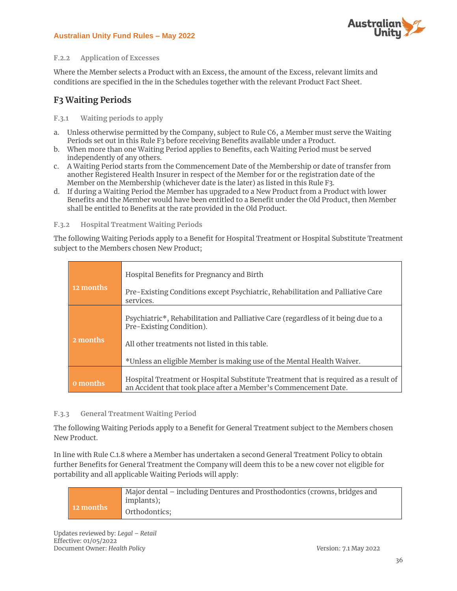

#### **F.2.2 Application of Excesses**

Where the Member selects a Product with an Excess, the amount of the Excess, relevant limits and conditions are specified in the in the Schedules together with the relevant Product Fact Sheet.

# **F3 Waiting Periods**

#### **F.3.1 Waiting periods to apply**

- a. Unless otherwise permitted by the Company, subject to Rule C6, a Member must serve the Waiting Periods set out in this Rule F3 before receiving Benefits available under a Product.
- b. When more than one Waiting Period applies to Benefits, each Waiting Period must be served independently of any others.
- c. A Waiting Period starts from the Commencement Date of the Membership or date of transfer from another Registered Health Insurer in respect of the Member for or the registration date of the Member on the Membership (whichever date is the later) as listed in this Rule F3.
- d. If during a Waiting Period the Member has upgraded to a New Product from a Product with lower Benefits and the Member would have been entitled to a Benefit under the Old Product, then Member shall be entitled to Benefits at the rate provided in the Old Product.

#### **F.3.2 Hospital Treatment Waiting Periods**

The following Waiting Periods apply to a Benefit for Hospital Treatment or Hospital Substitute Treatment subject to the Members chosen New Product;

| 0 months  | *Unless an eligible Member is making use of the Mental Health Waiver.<br>Hospital Treatment or Hospital Substitute Treatment that is required as a result of<br>an Accident that took place after a Member's Commencement Date. |
|-----------|---------------------------------------------------------------------------------------------------------------------------------------------------------------------------------------------------------------------------------|
| 2 months  | All other treatments not listed in this table.                                                                                                                                                                                  |
|           | Psychiatric*, Rehabilitation and Palliative Care (regardless of it being due to a<br>Pre-Existing Condition).                                                                                                                   |
| 12 months | Hospital Benefits for Pregnancy and Birth<br>Pre-Existing Conditions except Psychiatric, Rehabilitation and Palliative Care<br>services.                                                                                        |

#### **F.3.3 General Treatment Waiting Period**

The following Waiting Periods apply to a Benefit for General Treatment subject to the Members chosen New Product.

In line with Rule C.1.8 where a Member has undertaken a second General Treatment Policy to obtain further Benefits for General Treatment the Company will deem this to be a new cover not eligible for portability and all applicable Waiting Periods will apply:

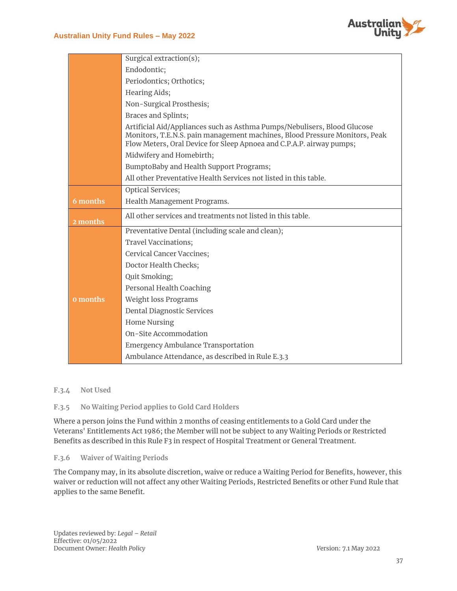

|          | Surgical extraction(s);                                                                                                                                                                                                        |
|----------|--------------------------------------------------------------------------------------------------------------------------------------------------------------------------------------------------------------------------------|
|          | Endodontic;                                                                                                                                                                                                                    |
|          | Periodontics; Orthotics;                                                                                                                                                                                                       |
|          | Hearing Aids;                                                                                                                                                                                                                  |
|          | Non-Surgical Prosthesis;                                                                                                                                                                                                       |
|          | Braces and Splints;                                                                                                                                                                                                            |
|          | Artificial Aid/Appliances such as Asthma Pumps/Nebulisers, Blood Glucose<br>Monitors, T.E.N.S. pain management machines, Blood Pressure Monitors, Peak<br>Flow Meters, Oral Device for Sleep Apnoea and C.P.A.P. airway pumps; |
|          | Midwifery and Homebirth;                                                                                                                                                                                                       |
|          | BumptoBaby and Health Support Programs;                                                                                                                                                                                        |
|          | All other Preventative Health Services not listed in this table.                                                                                                                                                               |
|          | <b>Optical Services;</b>                                                                                                                                                                                                       |
| 6 months | Health Management Programs.                                                                                                                                                                                                    |
|          |                                                                                                                                                                                                                                |
| 2 months | All other services and treatments not listed in this table.                                                                                                                                                                    |
|          | Preventative Dental (including scale and clean);                                                                                                                                                                               |
|          | <b>Travel Vaccinations;</b>                                                                                                                                                                                                    |
|          | <b>Cervical Cancer Vaccines;</b>                                                                                                                                                                                               |
|          | Doctor Health Checks;                                                                                                                                                                                                          |
|          | Quit Smoking;                                                                                                                                                                                                                  |
|          | Personal Health Coaching                                                                                                                                                                                                       |
| 0 months | Weight loss Programs                                                                                                                                                                                                           |
|          | <b>Dental Diagnostic Services</b>                                                                                                                                                                                              |
|          | <b>Home Nursing</b>                                                                                                                                                                                                            |
|          | On-Site Accommodation                                                                                                                                                                                                          |
|          | <b>Emergency Ambulance Transportation</b><br>Ambulance Attendance, as described in Rule E.3.3                                                                                                                                  |

#### **F.3.4 Not Used**

#### **F.3.5 No Waiting Period applies to Gold Card Holders**

Where a person joins the Fund within 2 months of ceasing entitlements to a Gold Card under the Veterans' Entitlements Act 1986; the Member will not be subject to any Waiting Periods or Restricted Benefits as described in this Rule F3 in respect of Hospital Treatment or General Treatment.

#### **F.3.6 Waiver of Waiting Periods**

The Company may, in its absolute discretion, waive or reduce a Waiting Period for Benefits, however, this waiver or reduction will not affect any other Waiting Periods, Restricted Benefits or other Fund Rule that applies to the same Benefit.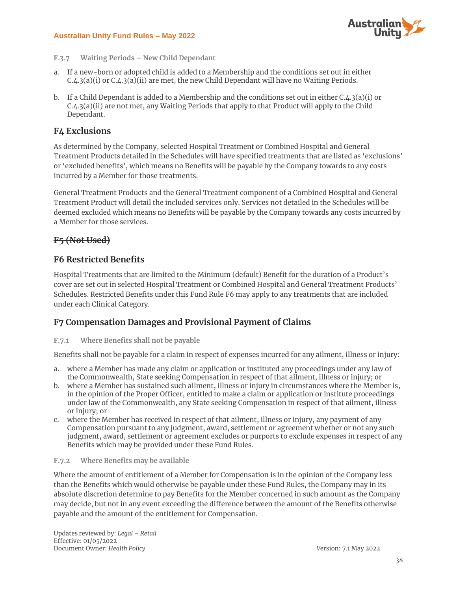

- **F.3.7 Waiting Periods – New Child Dependant**
- a. If a new-born or adopted child is added to a Membership and the conditions set out in either  $C.A.3(a)(i)$  or  $C.A.3(a)(ii)$  are met, the new Child Dependant will have no Waiting Periods.
- b. If a Child Dependant is added to a Membership and the conditions set out in either  $C.A.3(a)(i)$  or C.4.3(a)(ii) are not met, any Waiting Periods that apply to that Product will apply to the Child Dependant.

## **F4 Exclusions**

As determined by the Company, selected Hospital Treatment or Combined Hospital and General Treatment Products detailed in the Schedules will have specified treatments that are listed as 'exclusions' or 'excluded benefits', which means no Benefits will be payable by the Company towards to any costs incurred by a Member for those treatments.

General Treatment Products and the General Treatment component of a Combined Hospital and General Treatment Product will detail the included services only. Services not detailed in the Schedules will be deemed excluded which means no Benefits will be payable by the Company towards any costs incurred by a Member for those services.

# **F5 (Not Used)**

# **F6 Restricted Benefits**

Hospital Treatments that are limited to the Minimum (default) Benefit for the duration of a Product's cover are set out in selected Hospital Treatment or Combined Hospital and General Treatment Products' Schedules. Restricted Benefits under this Fund Rule F6 may apply to any treatments that are included under each Clinical Category.

# **F7 Compensation Damages and Provisional Payment of Claims**

#### **F.7.1 Where Benefits shall not be payable**

Benefits shall not be payable for a claim in respect of expenses incurred for any ailment, illness or injury:

- a. where a Member has made any claim or application or instituted any proceedings under any law of the Commonwealth, State seeking Compensation in respect of that ailment, illness or injury; or
- b. where a Member has sustained such ailment, illness or injury in circumstances where the Member is, in the opinion of the Proper Officer, entitled to make a claim or application or institute proceedings under law of the Commonwealth, any State seeking Compensation in respect of that ailment, illness or injury; or
- c. where the Member has received in respect of that ailment, illness or injury, any payment of any Compensation pursuant to any judgment, award, settlement or agreement whether or not any such judgment, award, settlement or agreement excludes or purports to exclude expenses in respect of any Benefits which may be provided under these Fund Rules.

#### **F.7.2 Where Benefits may be available**

Where the amount of entitlement of a Member for Compensation is in the opinion of the Company less than the Benefits which would otherwise be payable under these Fund Rules, the Company may in its absolute discretion determine to pay Benefits for the Member concerned in such amount as the Company may decide, but not in any event exceeding the difference between the amount of the Benefits otherwise payable and the amount of the entitlement for Compensation.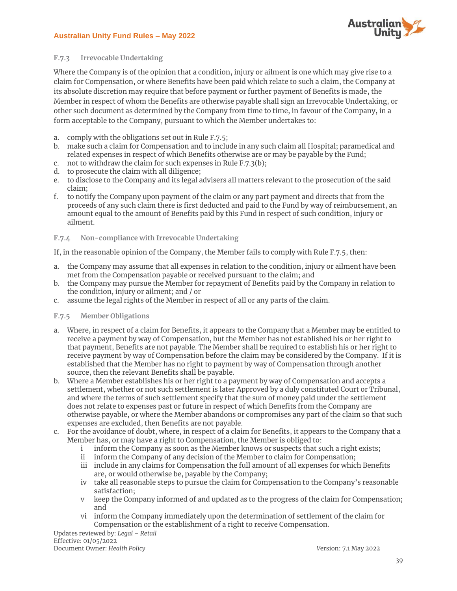

#### **F.7.3 Irrevocable Undertaking**

Where the Company is of the opinion that a condition, injury or ailment is one which may give rise to a claim for Compensation, or where Benefits have been paid which relate to such a claim, the Company at its absolute discretion may require that before payment or further payment of Benefits is made, the Member in respect of whom the Benefits are otherwise payable shall sign an Irrevocable Undertaking, or other such document as determined by the Company from time to time, in favour of the Company, in a form acceptable to the Company, pursuant to which the Member undertakes to:

- a. comply with the obligations set out in Rule F.7.5;
- b. make such a claim for Compensation and to include in any such claim all Hospital; paramedical and related expenses in respect of which Benefits otherwise are or may be payable by the Fund;
- c. not to withdraw the claim for such expenses in Rule F.7.3(b);
- d. to prosecute the claim with all diligence;
- e. to disclose to the Company and its legal advisers all matters relevant to the prosecution of the said claim;
- f. to notify the Company upon payment of the claim or any part payment and directs that from the proceeds of any such claim there is first deducted and paid to the Fund by way of reimbursement, an amount equal to the amount of Benefits paid by this Fund in respect of such condition, injury or ailment.

**F.7.4 Non-compliance with Irrevocable Undertaking**

If, in the reasonable opinion of the Company, the Member fails to comply with Rule F.7.5, then:

- a. the Company may assume that all expenses in relation to the condition, injury or ailment have been met from the Compensation payable or received pursuant to the claim; and
- b. the Company may pursue the Member for repayment of Benefits paid by the Company in relation to the condition, injury or ailment; and / or
- c. assume the legal rights of the Member in respect of all or any parts of the claim.

#### **F.7.5 Member Obligations**

- a. Where, in respect of a claim for Benefits, it appears to the Company that a Member may be entitled to receive a payment by way of Compensation, but the Member has not established his or her right to that payment, Benefits are not payable. The Member shall be required to establish his or her right to receive payment by way of Compensation before the claim may be considered by the Company. If it is established that the Member has no right to payment by way of Compensation through another source, then the relevant Benefits shall be payable.
- b. Where a Member establishes his or her right to a payment by way of Compensation and accepts a settlement, whether or not such settlement is later Approved by a duly constituted Court or Tribunal, and where the terms of such settlement specify that the sum of money paid under the settlement does not relate to expenses past or future in respect of which Benefits from the Company are otherwise payable, or where the Member abandons or compromises any part of the claim so that such expenses are excluded, then Benefits are not payable.
- c. For the avoidance of doubt, where, in respect of a claim for Benefits, it appears to the Company that a Member has, or may have a right to Compensation, the Member is obliged to:
	- i inform the Company as soon as the Member knows or suspects that such a right exists;
	- ii inform the Company of any decision of the Member to claim for Compensation;
	- iii include in any claims for Compensation the full amount of all expenses for which Benefits are, or would otherwise be, payable by the Company;
	- iv take all reasonable steps to pursue the claim for Compensation to the Company's reasonable satisfaction;
	- v keep the Company informed of and updated as to the progress of the claim for Compensation; and
	- vi inform the Company immediately upon the determination of settlement of the claim for Compensation or the establishment of a right to receive Compensation.

Updates reviewed by: Legal - Retail Effective: 01/05/2022 Document Owner: *Health Policy V*ersion: 7.1 May 2022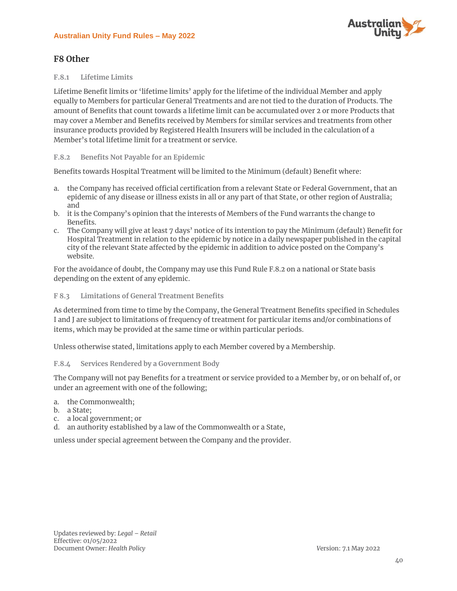

# **F8 Other**

#### **F.8.1 Lifetime Limits**

Lifetime Benefit limits or 'lifetime limits' apply for the lifetime of the individual Member and apply equally to Members for particular General Treatments and are not tied to the duration of Products. The amount of Benefits that count towards a lifetime limit can be accumulated over 2 or more Products that may cover a Member and Benefits received by Members for similar services and treatments from other insurance products provided by Registered Health Insurers will be included in the calculation of a Member's total lifetime limit for a treatment or service.

#### **F.8.2 Benefits Not Payable for an Epidemic**

Benefits towards Hospital Treatment will be limited to the Minimum (default) Benefit where:

- a. the Company has received official certification from a relevant State or Federal Government, that an epidemic of any disease or illness exists in all or any part of that State, or other region of Australia; and
- b. it is the Company's opinion that the interests of Members of the Fund warrants the change to Benefits.
- c. The Company will give at least 7 days' notice of its intention to pay the Minimum (default) Benefit for Hospital Treatment in relation to the epidemic by notice in a daily newspaper published in the capital city of the relevant State affected by the epidemic in addition to advice posted on the Company's website.

For the avoidance of doubt, the Company may use this Fund Rule F.8.2 on a national or State basis depending on the extent of any epidemic.

#### **F 8.3 Limitations of General Treatment Benefits**

As determined from time to time by the Company, the General Treatment Benefits specified in Schedules I and J are subject to limitations of frequency of treatment for particular items and/or combinations of items, which may be provided at the same time or within particular periods.

Unless otherwise stated, limitations apply to each Member covered by a Membership.

#### **F.8.4 Services Rendered by a Government Body**

The Company will not pay Benefits for a treatment or service provided to a Member by, or on behalf of, or under an agreement with one of the following;

- a. the Commonwealth;
- b. a State;
- c. a local government; or
- d. an authority established by a law of the Commonwealth or a State,

unless under special agreement between the Company and the provider.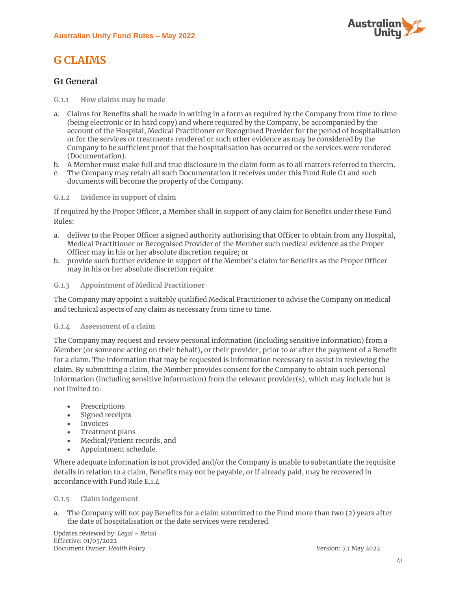

# **G CLAIMS**

# **G1 General**

#### **G.1.1 How claims may be made**

- a. Claims for Benefits shall be made in writing in a form as required by the Company from time to time (being electronic or in hard copy) and where required by the Company, be accompanied by the account of the Hospital, Medical Practitioner or Recognised Provider for the period of hospitalisation or for the services or treatments rendered or such other evidence as may be considered by the Company to be sufficient proof that the hospitalisation has occurred or the services were rendered (Documentation).
- b. A Member must make full and true disclosure in the claim form as to all matters referred to therein.
- c. The Company may retain all such Documentation it receives under this Fund Rule G1 and such documents will become the property of the Company.

#### **G.1.2 Evidence in support of claim**

If required by the Proper Officer, a Member shall in support of any claim for Benefits under these Fund Rules:

- a. deliver to the Proper Officer a signed authority authorising that Officer to obtain from any Hospital, Medical Practitioner or Recognised Provider of the Member such medical evidence as the Proper Officer may in his or her absolute discretion require; or
- b. provide such further evidence in support of the Member's claim for Benefits as the Proper Officer may in his or her absolute discretion require.

#### **G.1.3 Appointment of Medical Practitioner**

The Company may appoint a suitably qualified Medical Practitioner to advise the Company on medical and technical aspects of any claim as necessary from time to time.

#### **G.1.4 Assessment of a claim**

The Company may request and review personal information (including sensitive information) from a Member (or someone acting on their behalf), or their provider, prior to or after the payment of a Benefit for a claim. The information that may be requested is information necessary to assist in reviewing the claim. By submitting a claim, the Member provides consent for the Company to obtain such personal information (including sensitive information) from the relevant provider(s), which may include but is not limited to:

- **Prescriptions**
- Signed receipts
- **Invoices**
- Treatment plans
- Medical/Patient records, and
- Appointment schedule.

Where adequate information is not provided and/or the Company is unable to substantiate the requisite details in relation to a claim, Benefits may not be payable, or if already paid, may be recovered in accordance with Fund Rule E.1.4

#### **G.1.5 Claim lodgement**

a. The Company will not pay Benefits for a claim submitted to the Fund more than two (2) years after the date of hospitalisation or the date services were rendered.

Updates reviewed by: Legal - Retail Effective: 01/05/2022 Document Owner: *Health Policy V*ersion: 7.1 May 2022